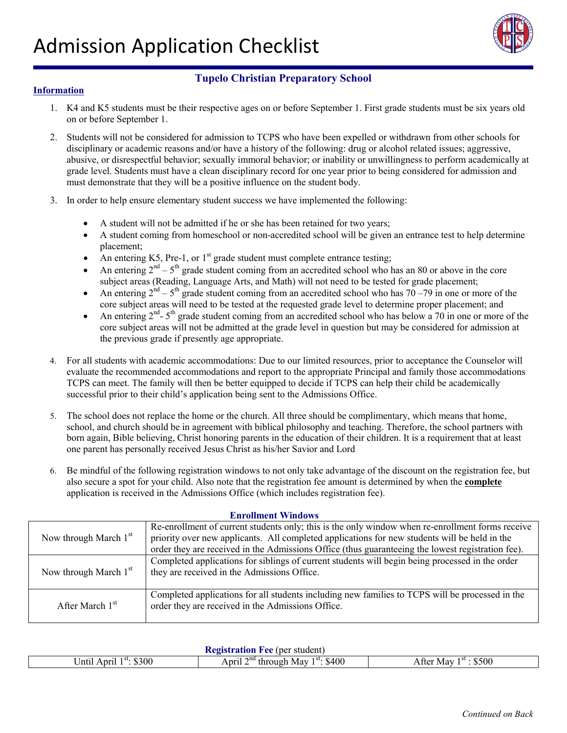

## **Information**

- 1. K4 and K5 students must be their respective ages on or before September 1. First grade students must be six years old on or before September 1.
- 2. Students will not be considered for admission to TCPS who have been expelled or withdrawn from other schools for disciplinary or academic reasons and/or have a history of the following: drug or alcohol related issues; aggressive, abusive, or disrespectful behavior; sexually immoral behavior; or inability or unwillingness to perform academically at grade level. Students must have a clean disciplinary record for one year prior to being considered for admission and must demonstrate that they will be a positive influence on the student body.
- 3. In order to help ensure elementary student success we have implemented the following:
	- A student will not be admitted if he or she has been retained for two years;
	- A student coming from homeschool or non-accredited school will be given an entrance test to help determine placement;
	- An entering K5, Pre-1, or  $1<sup>st</sup>$  grade student must complete entrance testing;
	- An entering  $2<sup>nd</sup> 5<sup>th</sup>$  grade student coming from an accredited school who has an 80 or above in the core subject areas (Reading, Language Arts, and Math) will not need to be tested for grade placement;
	- An entering  $2<sup>nd</sup> 5<sup>th</sup>$  grade student coming from an accredited school who has  $70 79$  in one or more of the core subject areas will need to be tested at the requested grade level to determine proper placement; and
	- An entering  $2<sup>nd</sup> 5<sup>th</sup>$  grade student coming from an accredited school who has below a 70 in one or more of the core subject areas will not be admitted at the grade level in question but may be considered for admission at the previous grade if presently age appropriate.
- 4. For all students with academic accommodations: Due to our limited resources, prior to acceptance the Counselor will evaluate the recommended accommodations and report to the appropriate Principal and family those accommodations TCPS can meet. The family will then be better equipped to decide if TCPS can help their child be academically successful prior to their child's application being sent to the Admissions Office.
- 5. The school does not replace the home or the church. All three should be complimentary, which means that home, school, and church should be in agreement with biblical philosophy and teaching. Therefore, the school partners with born again, Bible believing, Christ honoring parents in the education of their children. It is a requirement that at least one parent has personally received Jesus Christ as his/her Savior and Lord
- 6. Be mindful of the following registration windows to not only take advantage of the discount on the registration fee, but also secure a spot for your child. Also note that the registration fee amount is determined by when the **complete** application is received in the Admissions Office (which includes registration fee).

#### **Enrollment Windows**

| Now through March $1st$     | Re-enrollment of current students only; this is the only window when re-enrollment forms receive<br>priority over new applicants. All completed applications for new students will be held in the<br>order they are received in the Admissions Office (thus guaranteeing the lowest registration fee). |
|-----------------------------|--------------------------------------------------------------------------------------------------------------------------------------------------------------------------------------------------------------------------------------------------------------------------------------------------------|
| Now through March $1st$     | Completed applications for siblings of current students will begin being processed in the order<br>they are received in the Admissions Office.                                                                                                                                                         |
| After March 1 <sup>st</sup> | Completed applications for all students including new families to TCPS will be processed in the<br>order they are received in the Admissions Office.                                                                                                                                                   |

## **Registration Fee** (per student) Until April 1<sup>st</sup>: \$300 April 2<sup>nd</sup> through May 1<sup>st</sup>: \$400 After May 1<sup>st</sup> : \$500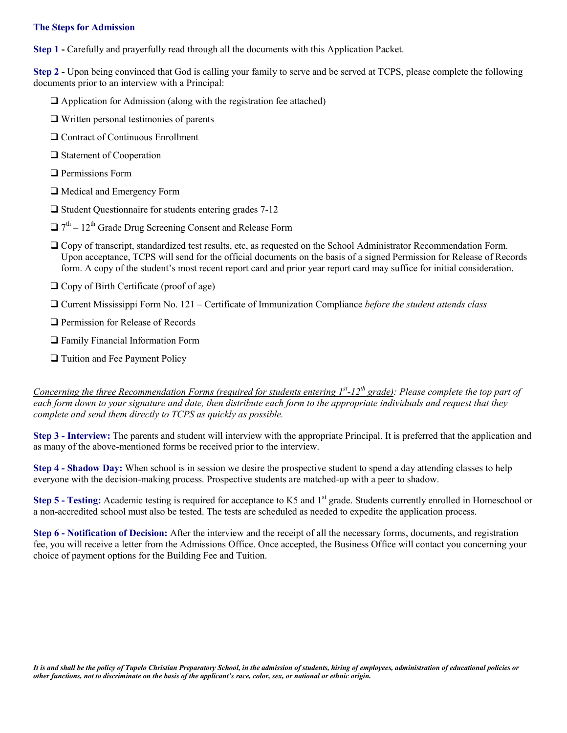#### **The Steps for Admission**

**Step 1 -** Carefully and prayerfully read through all the documents with this Application Packet.

**Step 2 -** Upon being convinced that God is calling your family to serve and be served at TCPS, please complete the following documents prior to an interview with a Principal:

- $\Box$  Application for Admission (along with the registration fee attached)
- Written personal testimonies of parents
- □ Contract of Continuous Enrollment
- □ Statement of Cooperation
- **Q** Permissions Form
- Medical and Emergency Form
- $\Box$  Student Questionnaire for students entering grades 7-12
- $\Box$  7<sup>th</sup> 12<sup>th</sup> Grade Drug Screening Consent and Release Form
- Copy of transcript, standardized test results, etc, as requested on the School Administrator Recommendation Form. Upon acceptance, TCPS will send for the official documents on the basis of a signed Permission for Release of Records form. A copy of the student's most recent report card and prior year report card may suffice for initial consideration.
- $\Box$  Copy of Birth Certificate (proof of age)
- Current Mississippi Form No. 121 Certificate of Immunization Compliance *before the student attends class*
- **Q** Permission for Release of Records
- Family Financial Information Form
- □ Tuition and Fee Payment Policy

*Concerning the three Recommendation Forms (required for students entering 1<sup>st</sup>-12<sup>th</sup> grade): Please complete the top part of each form down to your signature and date, then distribute each form to the appropriate individuals and request that they complete and send them directly to TCPS as quickly as possible.*

**Step 3 - Interview:** The parents and student will interview with the appropriate Principal. It is preferred that the application and as many of the above-mentioned forms be received prior to the interview.

**Step 4 - Shadow Day:** When school is in session we desire the prospective student to spend a day attending classes to help everyone with the decision-making process. Prospective students are matched-up with a peer to shadow.

**Step 5 - Testing:** Academic testing is required for acceptance to K5 and 1<sup>st</sup> grade. Students currently enrolled in Homeschool or a non-accredited school must also be tested. The tests are scheduled as needed to expedite the application process.

**Step 6 - Notification of Decision:** After the interview and the receipt of all the necessary forms, documents, and registration fee, you will receive a letter from the Admissions Office. Once accepted, the Business Office will contact you concerning your choice of payment options for the Building Fee and Tuition.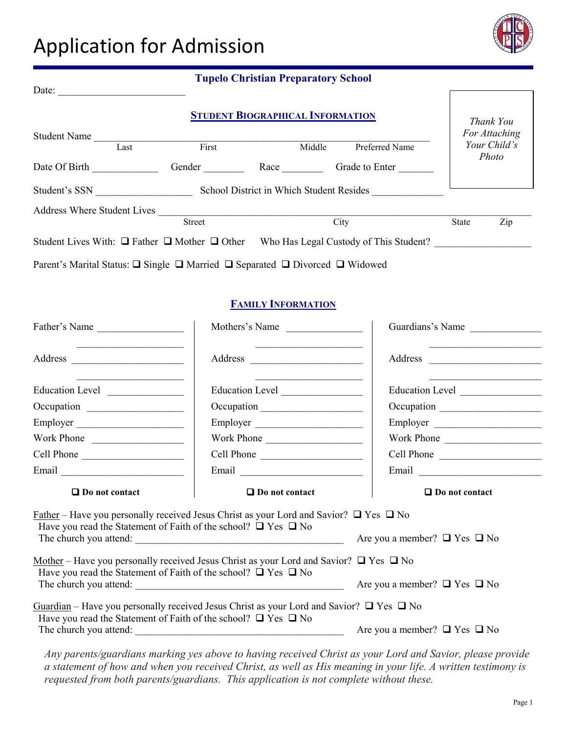# Application for Admission



| Date:                                                                                                 |               | <b>Tupelo Christian Preparatory School</b> |        |                                        |              |                            |
|-------------------------------------------------------------------------------------------------------|---------------|--------------------------------------------|--------|----------------------------------------|--------------|----------------------------|
| <b>Student Name</b>                                                                                   |               | <b>STUDENT BIOGRAPHICAL INFORMATION</b>    |        |                                        |              | Thank You<br>For Attaching |
| Last                                                                                                  | First         |                                            | Middle | Preferred Name                         |              | Your Child's<br>Photo      |
| Date Of Birth                                                                                         | Gender        | Race                                       |        | Grade to Enter                         |              |                            |
| Student's SSN                                                                                         |               | School District in Which Student Resides   |        |                                        |              |                            |
| <b>Address Where Student Lives</b>                                                                    |               |                                            |        |                                        |              |                            |
|                                                                                                       | <b>Street</b> |                                            | City   |                                        | <b>State</b> | Zip                        |
| Student Lives With: $\Box$ Father $\Box$ Mother $\Box$ Other                                          |               |                                            |        | Who Has Legal Custody of This Student? |              |                            |
| Parent's Marital Status: $\Box$ Single $\Box$ Married $\Box$ Separated $\Box$ Divorced $\Box$ Widowed |               |                                            |        |                                        |              |                            |

## **FAMILY INFORMATION**

| Father's Name                                                            | Mothers's Name                                                                                                                                                                  | Guardians's Name      |
|--------------------------------------------------------------------------|---------------------------------------------------------------------------------------------------------------------------------------------------------------------------------|-----------------------|
|                                                                          |                                                                                                                                                                                 |                       |
|                                                                          |                                                                                                                                                                                 |                       |
|                                                                          |                                                                                                                                                                                 |                       |
| Employer                                                                 | Employer                                                                                                                                                                        | Employer              |
| Work Phone                                                               | Work Phone                                                                                                                                                                      | Work Phone            |
| Cell Phone                                                               | Cell Phone                                                                                                                                                                      | Cell Phone            |
| Email                                                                    | Email                                                                                                                                                                           |                       |
|                                                                          |                                                                                                                                                                                 |                       |
| $\Box$ Do not contact                                                    | $\Box$ Do not contact                                                                                                                                                           | $\Box$ Do not contact |
| Have you read the Statement of Faith of the school? $\Box$ Yes $\Box$ No | <u>Father</u> – Have you personally received Jesus Christ as your Lord and Savior? $\Box$ Yes $\Box$ No<br>The church you attend: $\Box$ Are you a member? $\Box$ Yes $\Box$ No |                       |
| Have you read the Statement of Faith of the school? $\Box$ Yes $\Box$ No | Mother – Have you personally received Jesus Christ as your Lord and Savior? $\Box$ Yes $\Box$ No<br>The church you attend: $\Box$ No                                            |                       |
| Have you read the Statement of Faith of the school? $\Box$ Yes $\Box$ No | Guardian – Have you personally received Jesus Christ as your Lord and Savior? $\Box$ Yes $\Box$ No<br>The church you attend: $\Box$ Are you a member? $\Box$ Yes $\Box$ No      |                       |

*Any parents/guardians marking yes above to having received Christ as your Lord and Savior, please provide a statement of how and when you received Christ, as well as His meaning in your life. A written testimony is requested from both parents/guardians. This application is not complete without these.*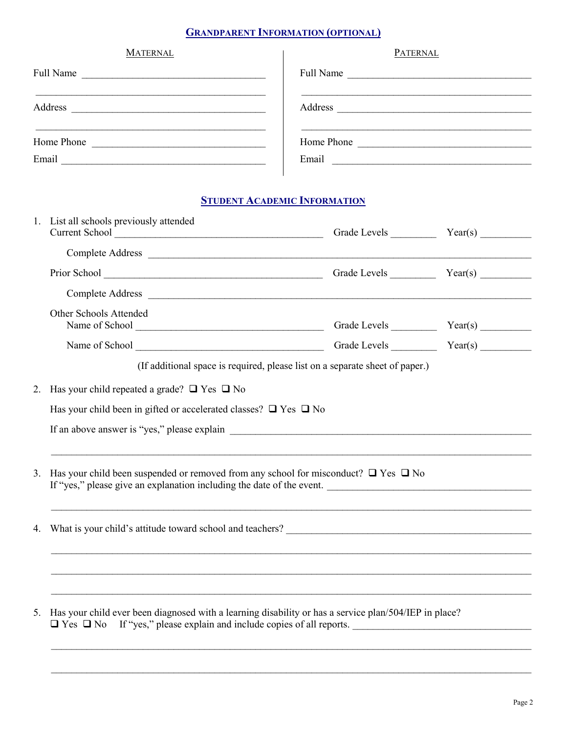# **GRANDPARENT INFORMATION (OPTIONAL)**

| <b>MATERNAL</b>                                                                                                                    | <b>PATERNAL</b>                                                       |
|------------------------------------------------------------------------------------------------------------------------------------|-----------------------------------------------------------------------|
| Full Name<br><u> 1980 - Johann John Stein, fransk kampens og det blev til store og det blev til store og det blev til store og</u> | <b>Full Name</b><br><u> 1986 - Andrea Albert III, am bhaile an t-</u> |
| Address<br><u> 1980 - Andrea Stadt Britain, fransk politik (f. 1980)</u>                                                           |                                                                       |
| Home Phone<br><u> 1980 - Johann John Stone, mars et al. (</u><br>Email                                                             | Home Phone<br>Email                                                   |
| <u> 1989 - Johann Johann Stoff, deutscher Stoffen und der Stoffen und der Stoffen und der Stoffen und der Stoffen</u>              | <u> 1980 - Jan Samuel Barbara, margaret e</u>                         |

# **STUDENT ACADEMIC INFORMATION**

|    | 1. List all schools previously attended                                                                                                                                                   |  |
|----|-------------------------------------------------------------------------------------------------------------------------------------------------------------------------------------------|--|
|    |                                                                                                                                                                                           |  |
|    |                                                                                                                                                                                           |  |
|    |                                                                                                                                                                                           |  |
|    | Other Schools Attended                                                                                                                                                                    |  |
|    |                                                                                                                                                                                           |  |
|    | (If additional space is required, please list on a separate sheet of paper.)                                                                                                              |  |
| 2. | Has your child repeated a grade? $\Box$ Yes $\Box$ No                                                                                                                                     |  |
|    | Has your child been in gifted or accelerated classes? $\Box$ Yes $\Box$ No                                                                                                                |  |
|    | If an above answer is "yes," please explain                                                                                                                                               |  |
|    |                                                                                                                                                                                           |  |
| 3. | Has your child been suspended or removed from any school for misconduct? $\Box$ Yes $\Box$ No<br>If "yes," please give an explanation including the date of the event.                    |  |
|    |                                                                                                                                                                                           |  |
| 4. |                                                                                                                                                                                           |  |
|    |                                                                                                                                                                                           |  |
|    |                                                                                                                                                                                           |  |
|    |                                                                                                                                                                                           |  |
| 5. | Has your child ever been diagnosed with a learning disability or has a service plan/504/IEP in place?<br>$\Box$ Yes $\Box$ No If "yes," please explain and include copies of all reports. |  |
|    |                                                                                                                                                                                           |  |

 $\mathcal{L}_\mathcal{L} = \mathcal{L}_\mathcal{L} = \mathcal{L}_\mathcal{L} = \mathcal{L}_\mathcal{L} = \mathcal{L}_\mathcal{L} = \mathcal{L}_\mathcal{L} = \mathcal{L}_\mathcal{L} = \mathcal{L}_\mathcal{L} = \mathcal{L}_\mathcal{L} = \mathcal{L}_\mathcal{L} = \mathcal{L}_\mathcal{L} = \mathcal{L}_\mathcal{L} = \mathcal{L}_\mathcal{L} = \mathcal{L}_\mathcal{L} = \mathcal{L}_\mathcal{L} = \mathcal{L}_\mathcal{L} = \mathcal{L}_\mathcal{L}$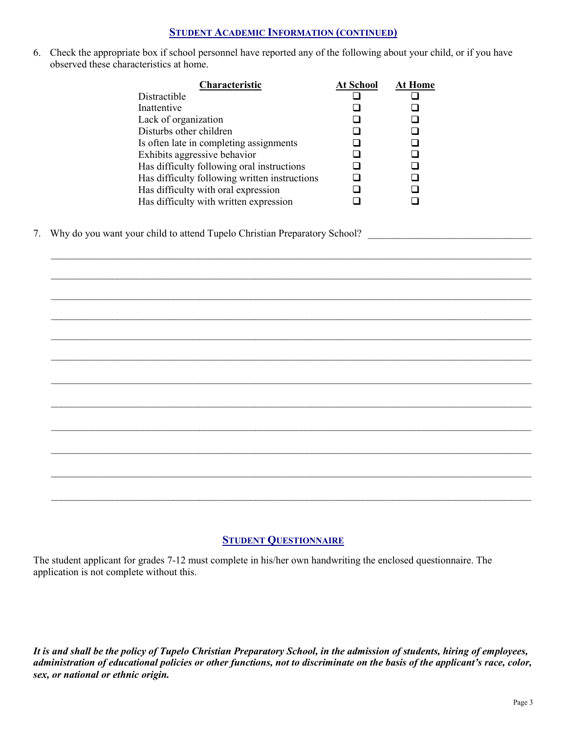## **STUDENT ACADEMIC INFORMATION (CONTINUED)**

6. Check the appropriate box if school personnel have reported any of the following about your child, or if you have observed these characteristics at home.

| <b>At School</b> | At Home |
|------------------|---------|
|                  |         |
|                  |         |
|                  |         |
|                  |         |
|                  |         |
|                  |         |
|                  |         |
|                  |         |
|                  |         |
|                  |         |
|                  |         |

 $\mathcal{L}_\mathcal{L} = \mathcal{L}_\mathcal{L} = \mathcal{L}_\mathcal{L} = \mathcal{L}_\mathcal{L} = \mathcal{L}_\mathcal{L} = \mathcal{L}_\mathcal{L} = \mathcal{L}_\mathcal{L} = \mathcal{L}_\mathcal{L} = \mathcal{L}_\mathcal{L} = \mathcal{L}_\mathcal{L} = \mathcal{L}_\mathcal{L} = \mathcal{L}_\mathcal{L} = \mathcal{L}_\mathcal{L} = \mathcal{L}_\mathcal{L} = \mathcal{L}_\mathcal{L} = \mathcal{L}_\mathcal{L} = \mathcal{L}_\mathcal{L}$ 

\_\_\_\_\_\_\_\_\_\_\_\_\_\_\_\_\_\_\_\_\_\_\_\_\_\_\_\_\_\_\_\_\_\_\_\_\_\_\_\_\_\_\_\_\_\_\_\_\_\_\_\_\_\_\_\_\_\_\_\_\_\_\_\_\_\_\_\_\_\_\_\_\_\_\_\_\_\_\_\_\_\_\_\_\_\_\_\_\_\_\_\_\_\_

 $\mathcal{L}_\mathcal{L} = \mathcal{L}_\mathcal{L} = \mathcal{L}_\mathcal{L} = \mathcal{L}_\mathcal{L} = \mathcal{L}_\mathcal{L} = \mathcal{L}_\mathcal{L} = \mathcal{L}_\mathcal{L} = \mathcal{L}_\mathcal{L} = \mathcal{L}_\mathcal{L} = \mathcal{L}_\mathcal{L} = \mathcal{L}_\mathcal{L} = \mathcal{L}_\mathcal{L} = \mathcal{L}_\mathcal{L} = \mathcal{L}_\mathcal{L} = \mathcal{L}_\mathcal{L} = \mathcal{L}_\mathcal{L} = \mathcal{L}_\mathcal{L}$ 

 $\mathcal{L}_\mathcal{L} = \mathcal{L}_\mathcal{L} = \mathcal{L}_\mathcal{L} = \mathcal{L}_\mathcal{L} = \mathcal{L}_\mathcal{L} = \mathcal{L}_\mathcal{L} = \mathcal{L}_\mathcal{L} = \mathcal{L}_\mathcal{L} = \mathcal{L}_\mathcal{L} = \mathcal{L}_\mathcal{L} = \mathcal{L}_\mathcal{L} = \mathcal{L}_\mathcal{L} = \mathcal{L}_\mathcal{L} = \mathcal{L}_\mathcal{L} = \mathcal{L}_\mathcal{L} = \mathcal{L}_\mathcal{L} = \mathcal{L}_\mathcal{L}$ 

 $\mathcal{L}_\mathcal{L} = \mathcal{L}_\mathcal{L} = \mathcal{L}_\mathcal{L} = \mathcal{L}_\mathcal{L} = \mathcal{L}_\mathcal{L} = \mathcal{L}_\mathcal{L} = \mathcal{L}_\mathcal{L} = \mathcal{L}_\mathcal{L} = \mathcal{L}_\mathcal{L} = \mathcal{L}_\mathcal{L} = \mathcal{L}_\mathcal{L} = \mathcal{L}_\mathcal{L} = \mathcal{L}_\mathcal{L} = \mathcal{L}_\mathcal{L} = \mathcal{L}_\mathcal{L} = \mathcal{L}_\mathcal{L} = \mathcal{L}_\mathcal{L}$ 

\_\_\_\_\_\_\_\_\_\_\_\_\_\_\_\_\_\_\_\_\_\_\_\_\_\_\_\_\_\_\_\_\_\_\_\_\_\_\_\_\_\_\_\_\_\_\_\_\_\_\_\_\_\_\_\_\_\_\_\_\_\_\_\_\_\_\_\_\_\_\_\_\_\_\_\_\_\_\_\_\_\_\_\_\_\_\_\_\_\_\_\_\_\_

 $\mathcal{L}_\mathcal{L} = \mathcal{L}_\mathcal{L} = \mathcal{L}_\mathcal{L} = \mathcal{L}_\mathcal{L} = \mathcal{L}_\mathcal{L} = \mathcal{L}_\mathcal{L} = \mathcal{L}_\mathcal{L} = \mathcal{L}_\mathcal{L} = \mathcal{L}_\mathcal{L} = \mathcal{L}_\mathcal{L} = \mathcal{L}_\mathcal{L} = \mathcal{L}_\mathcal{L} = \mathcal{L}_\mathcal{L} = \mathcal{L}_\mathcal{L} = \mathcal{L}_\mathcal{L} = \mathcal{L}_\mathcal{L} = \mathcal{L}_\mathcal{L}$ 

\_\_\_\_\_\_\_\_\_\_\_\_\_\_\_\_\_\_\_\_\_\_\_\_\_\_\_\_\_\_\_\_\_\_\_\_\_\_\_\_\_\_\_\_\_\_\_\_\_\_\_\_\_\_\_\_\_\_\_\_\_\_\_\_\_\_\_\_\_\_\_\_\_\_\_\_\_\_\_\_\_\_\_\_\_\_\_\_\_\_\_\_\_\_

 $\mathcal{L}_\mathcal{L} = \mathcal{L}_\mathcal{L} = \mathcal{L}_\mathcal{L} = \mathcal{L}_\mathcal{L} = \mathcal{L}_\mathcal{L} = \mathcal{L}_\mathcal{L} = \mathcal{L}_\mathcal{L} = \mathcal{L}_\mathcal{L} = \mathcal{L}_\mathcal{L} = \mathcal{L}_\mathcal{L} = \mathcal{L}_\mathcal{L} = \mathcal{L}_\mathcal{L} = \mathcal{L}_\mathcal{L} = \mathcal{L}_\mathcal{L} = \mathcal{L}_\mathcal{L} = \mathcal{L}_\mathcal{L} = \mathcal{L}_\mathcal{L}$ 

 $\mathcal{L}_\mathcal{L} = \mathcal{L}_\mathcal{L} = \mathcal{L}_\mathcal{L} = \mathcal{L}_\mathcal{L} = \mathcal{L}_\mathcal{L} = \mathcal{L}_\mathcal{L} = \mathcal{L}_\mathcal{L} = \mathcal{L}_\mathcal{L} = \mathcal{L}_\mathcal{L} = \mathcal{L}_\mathcal{L} = \mathcal{L}_\mathcal{L} = \mathcal{L}_\mathcal{L} = \mathcal{L}_\mathcal{L} = \mathcal{L}_\mathcal{L} = \mathcal{L}_\mathcal{L} = \mathcal{L}_\mathcal{L} = \mathcal{L}_\mathcal{L}$ 

 $\mathcal{L}_\mathcal{L} = \mathcal{L}_\mathcal{L} = \mathcal{L}_\mathcal{L} = \mathcal{L}_\mathcal{L} = \mathcal{L}_\mathcal{L} = \mathcal{L}_\mathcal{L} = \mathcal{L}_\mathcal{L} = \mathcal{L}_\mathcal{L} = \mathcal{L}_\mathcal{L} = \mathcal{L}_\mathcal{L} = \mathcal{L}_\mathcal{L} = \mathcal{L}_\mathcal{L} = \mathcal{L}_\mathcal{L} = \mathcal{L}_\mathcal{L} = \mathcal{L}_\mathcal{L} = \mathcal{L}_\mathcal{L} = \mathcal{L}_\mathcal{L}$ 

 $\mathcal{L}_\mathcal{L} = \mathcal{L}_\mathcal{L} = \mathcal{L}_\mathcal{L} = \mathcal{L}_\mathcal{L} = \mathcal{L}_\mathcal{L} = \mathcal{L}_\mathcal{L} = \mathcal{L}_\mathcal{L} = \mathcal{L}_\mathcal{L} = \mathcal{L}_\mathcal{L} = \mathcal{L}_\mathcal{L} = \mathcal{L}_\mathcal{L} = \mathcal{L}_\mathcal{L} = \mathcal{L}_\mathcal{L} = \mathcal{L}_\mathcal{L} = \mathcal{L}_\mathcal{L} = \mathcal{L}_\mathcal{L} = \mathcal{L}_\mathcal{L}$ 

7. Why do you want your child to attend Tupelo Christian Preparatory School?

# **STUDENT QUESTIONNAIRE**

The student applicant for grades 7-12 must complete in his/her own handwriting the enclosed questionnaire. The application is not complete without this.

*It is and shall be the policy of Tupelo Christian Preparatory School, in the admission of students, hiring of employees, administration of educational policies or other functions, not to discriminate on the basis of the applicant's race, color, sex, or national or ethnic origin.*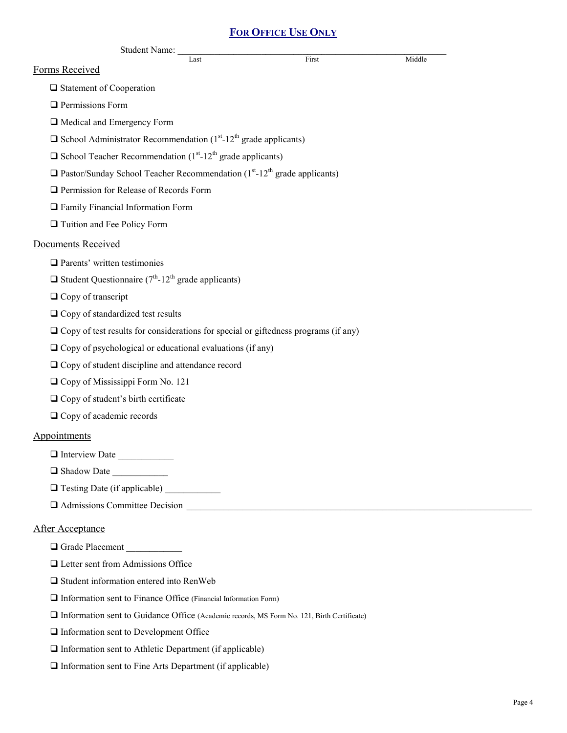## **FOR OFFICE USE ONLY**

|                                     |                                                                                                         | <b>FOR OFFICE USE ONLY</b> |        |
|-------------------------------------|---------------------------------------------------------------------------------------------------------|----------------------------|--------|
|                                     | <b>Student Name:</b>                                                                                    |                            |        |
| Forms Received                      | Last                                                                                                    | First                      | Middle |
| $\Box$ Statement of Cooperation     |                                                                                                         |                            |        |
| $\Box$ Permissions Form             |                                                                                                         |                            |        |
|                                     | Medical and Emergency Form                                                                              |                            |        |
|                                     | $\Box$ School Administrator Recommendation (1 <sup>st</sup> -12 <sup>th</sup> grade applicants)         |                            |        |
|                                     | $\Box$ School Teacher Recommendation (1 <sup>st</sup> -12 <sup>th</sup> grade applicants)               |                            |        |
|                                     | $\Box$ Pastor/Sunday School Teacher Recommendation (1 <sup>st</sup> -12 <sup>th</sup> grade applicants) |                            |        |
|                                     | Permission for Release of Records Form                                                                  |                            |        |
|                                     | <b>T</b> Family Financial Information Form                                                              |                            |        |
| Tuition and Fee Policy Form         |                                                                                                         |                            |        |
| Documents Received                  |                                                                                                         |                            |        |
| $\Box$ Parents' written testimonies |                                                                                                         |                            |        |
|                                     | $\Box$ Student Questionnaire (7 <sup>th</sup> -12 <sup>th</sup> grade applicants)                       |                            |        |
| $\Box$ Copy of transcript           |                                                                                                         |                            |        |
|                                     | $\Box$ Copy of standardized test results                                                                |                            |        |
|                                     | $\Box$ Copy of test results for considerations for special or giftedness programs (if any)              |                            |        |
|                                     | $\Box$ Copy of psychological or educational evaluations (if any)                                        |                            |        |
|                                     | $\Box$ Copy of student discipline and attendance record                                                 |                            |        |
|                                     | $\Box$ Copy of Mississippi Form No. 121                                                                 |                            |        |
|                                     | $\Box$ Copy of student's birth certificate                                                              |                            |        |
| $\Box$ Copy of academic records     |                                                                                                         |                            |        |
| Appointments                        |                                                                                                         |                            |        |
|                                     | Interview Date                                                                                          |                            |        |
| Shadow Date                         |                                                                                                         |                            |        |
|                                     |                                                                                                         |                            |        |
|                                     | $\Box$ Admissions Committee Decision                                                                    |                            |        |
| <b>After Acceptance</b>             |                                                                                                         |                            |        |
|                                     | Grade Placement                                                                                         |                            |        |
|                                     | $\Box$ Letter sent from Admissions Office                                                               |                            |        |
|                                     | $\Box$ Student information entered into RenWeb                                                          |                            |        |
|                                     | $\Box$ Information sent to Finance Office (Financial Information Form)                                  |                            |        |
|                                     | Information sent to Guidance Office (Academic records, MS Form No. 121, Birth Certificate)              |                            |        |
|                                     |                                                                                                         |                            |        |

 $\hfill\Box$ <br> <br> Information sent to Development Office

 $\hfill\Box$  Information sent to Athletic Department (if applicable)

 $\Box$ Information sent to Fine Arts Department (if applicable)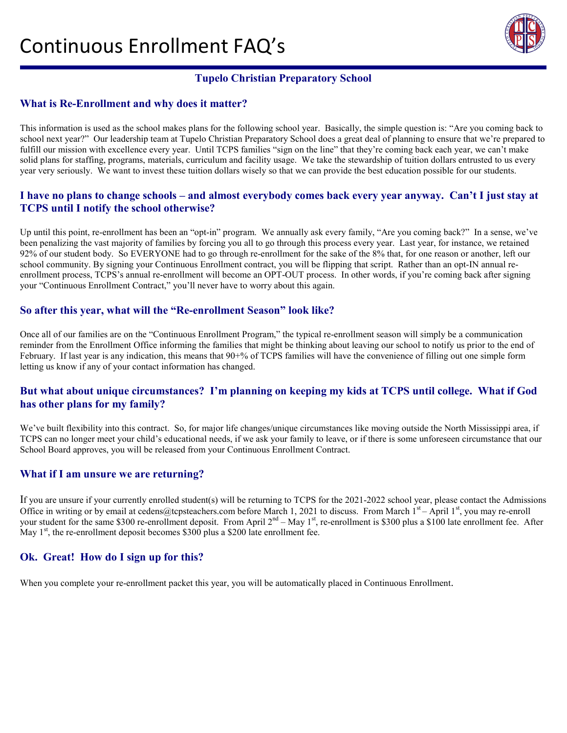# Continuous Enrollment FAQ's



# **Tupelo Christian Preparatory School**

## **What is Re-Enrollment and why does it matter?**

This information is used as the school makes plans for the following school year. Basically, the simple question is: "Are you coming back to school next year?" Our leadership team at Tupelo Christian Preparatory School does a great deal of planning to ensure that we're prepared to fulfill our mission with excellence every year. Until TCPS families "sign on the line" that they're coming back each year, we can't make solid plans for staffing, programs, materials, curriculum and facility usage. We take the stewardship of tuition dollars entrusted to us every year very seriously. We want to invest these tuition dollars wisely so that we can provide the best education possible for our students.

## **I have no plans to change schools – and almost everybody comes back every year anyway. Can't I just stay at TCPS until I notify the school otherwise?**

Up until this point, re-enrollment has been an "opt-in" program. We annually ask every family, "Are you coming back?" In a sense, we've been penalizing the vast majority of families by forcing you all to go through this process every year. Last year, for instance, we retained 92% of our student body. So EVERYONE had to go through re-enrollment for the sake of the 8% that, for one reason or another, left our school community. By signing your Continuous Enrollment contract, you will be flipping that script. Rather than an opt-IN annual reenrollment process, TCPS's annual re-enrollment will become an OPT-OUT process. In other words, if you're coming back after signing your "Continuous Enrollment Contract," you'll never have to worry about this again.

## **So after this year, what will the "Re-enrollment Season" look like?**

Once all of our families are on the "Continuous Enrollment Program," the typical re-enrollment season will simply be a communication reminder from the Enrollment Office informing the families that might be thinking about leaving our school to notify us prior to the end of February. If last year is any indication, this means that 90+% of TCPS families will have the convenience of filling out one simple form letting us know if any of your contact information has changed.

## **But what about unique circumstances? I'm planning on keeping my kids at TCPS until college. What if God has other plans for my family?**

We've built flexibility into this contract. So, for major life changes/unique circumstances like moving outside the North Mississippi area, if TCPS can no longer meet your child's educational needs, if we ask your family to leave, or if there is some unforeseen circumstance that our School Board approves, you will be released from your Continuous Enrollment Contract.

#### **What if I am unsure we are returning?**

If you are unsure if your currently enrolled student(s) will be returning to TCPS for the 2021-2022 school year, please contact the Admissions Office in writing or by email at cedens@tcpsteachers.com before March 1, 2021 to discuss. From March  $1^{st}$  – April  $1^{st}$ , you may re-enroll your student for the same \$300 re-enrollment deposit. From April  $2<sup>nd</sup>$  – May  $1<sup>st</sup>$ , re-enrollment is \$300 plus a \$100 late enrollment fee. After May  $1<sup>st</sup>$ , the re-enrollment deposit becomes \$300 plus a \$200 late enrollment fee.

## **Ok. Great! How do I sign up for this?**

When you complete your re-enrollment packet this year, you will be automatically placed in Continuous Enrollment.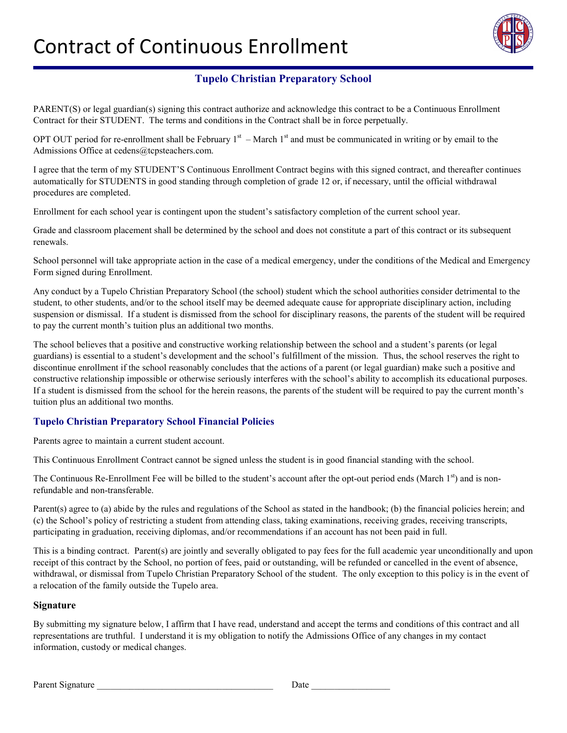

PARENT(S) or legal guardian(s) signing this contract authorize and acknowledge this contract to be a Continuous Enrollment Contract for their STUDENT. The terms and conditions in the Contract shall be in force perpetually.

OPT OUT period for re-enrollment shall be February  $1<sup>st</sup>$  – March  $1<sup>st</sup>$  and must be communicated in writing or by email to the Admissions Office at cedens@tcpsteachers.com.

I agree that the term of my STUDENT'S Continuous Enrollment Contract begins with this signed contract, and thereafter continues automatically for STUDENTS in good standing through completion of grade 12 or, if necessary, until the official withdrawal procedures are completed.

Enrollment for each school year is contingent upon the student's satisfactory completion of the current school year.

Grade and classroom placement shall be determined by the school and does not constitute a part of this contract or its subsequent renewals.

School personnel will take appropriate action in the case of a medical emergency, under the conditions of the Medical and Emergency Form signed during Enrollment.

Any conduct by a Tupelo Christian Preparatory School (the school) student which the school authorities consider detrimental to the student, to other students, and/or to the school itself may be deemed adequate cause for appropriate disciplinary action, including suspension or dismissal. If a student is dismissed from the school for disciplinary reasons, the parents of the student will be required to pay the current month's tuition plus an additional two months.

The school believes that a positive and constructive working relationship between the school and a student's parents (or legal guardians) is essential to a student's development and the school's fulfillment of the mission. Thus, the school reserves the right to discontinue enrollment if the school reasonably concludes that the actions of a parent (or legal guardian) make such a positive and constructive relationship impossible or otherwise seriously interferes with the school's ability to accomplish its educational purposes. If a student is dismissed from the school for the herein reasons, the parents of the student will be required to pay the current month's tuition plus an additional two months.

## **Tupelo Christian Preparatory School Financial Policies**

Parents agree to maintain a current student account.

This Continuous Enrollment Contract cannot be signed unless the student is in good financial standing with the school.

The Continuous Re-Enrollment Fee will be billed to the student's account after the opt-out period ends (March  $1<sup>st</sup>$ ) and is nonrefundable and non-transferable.

Parent(s) agree to (a) abide by the rules and regulations of the School as stated in the handbook; (b) the financial policies herein; and (c) the School's policy of restricting a student from attending class, taking examinations, receiving grades, receiving transcripts, participating in graduation, receiving diplomas, and/or recommendations if an account has not been paid in full.

This is a binding contract. Parent(s) are jointly and severally obligated to pay fees for the full academic year unconditionally and upon receipt of this contract by the School, no portion of fees, paid or outstanding, will be refunded or cancelled in the event of absence, withdrawal, or dismissal from Tupelo Christian Preparatory School of the student. The only exception to this policy is in the event of a relocation of the family outside the Tupelo area.

#### **Signature**

By submitting my signature below, I affirm that I have read, understand and accept the terms and conditions of this contract and all representations are truthful. I understand it is my obligation to notify the Admissions Office of any changes in my contact information, custody or medical changes.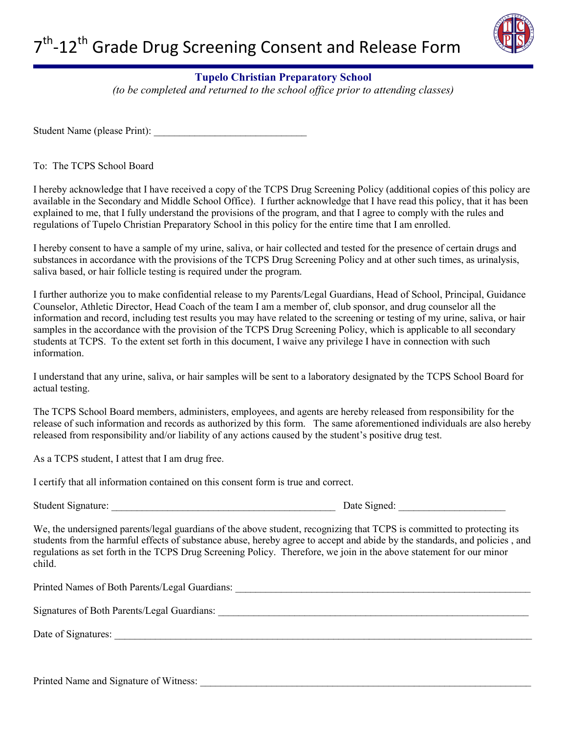

*(to be completed and returned to the school office prior to attending classes)*

Student Name (please Print):

To: The TCPS School Board

I hereby acknowledge that I have received a copy of the TCPS Drug Screening Policy (additional copies of this policy are available in the Secondary and Middle School Office). I further acknowledge that I have read this policy, that it has been explained to me, that I fully understand the provisions of the program, and that I agree to comply with the rules and regulations of Tupelo Christian Preparatory School in this policy for the entire time that I am enrolled.

I hereby consent to have a sample of my urine, saliva, or hair collected and tested for the presence of certain drugs and substances in accordance with the provisions of the TCPS Drug Screening Policy and at other such times, as urinalysis, saliva based, or hair follicle testing is required under the program.

I further authorize you to make confidential release to my Parents/Legal Guardians, Head of School, Principal, Guidance Counselor, Athletic Director, Head Coach of the team I am a member of, club sponsor, and drug counselor all the information and record, including test results you may have related to the screening or testing of my urine, saliva, or hair samples in the accordance with the provision of the TCPS Drug Screening Policy, which is applicable to all secondary students at TCPS. To the extent set forth in this document, I waive any privilege I have in connection with such information.

I understand that any urine, saliva, or hair samples will be sent to a laboratory designated by the TCPS School Board for actual testing.

The TCPS School Board members, administers, employees, and agents are hereby released from responsibility for the release of such information and records as authorized by this form. The same aforementioned individuals are also hereby released from responsibility and/or liability of any actions caused by the student's positive drug test.

As a TCPS student, I attest that I am drug free.

I certify that all information contained on this consent form is true and correct.

Student Signature: <br>
Date Signed:

We, the undersigned parents/legal guardians of the above student, recognizing that TCPS is committed to protecting its students from the harmful effects of substance abuse, hereby agree to accept and abide by the standards, and policies , and regulations as set forth in the TCPS Drug Screening Policy. Therefore, we join in the above statement for our minor child.

Printed Names of Both Parents/Legal Guardians: \_\_\_\_\_\_\_\_\_\_\_\_\_\_\_\_\_\_\_\_\_\_\_\_\_\_\_\_\_\_\_\_\_\_\_\_\_\_\_\_\_\_\_\_\_\_\_\_\_\_\_\_\_\_\_\_\_\_ Signatures of Both Parents/Legal Guardians: Date of Signatures: \_\_\_\_\_\_\_\_\_\_\_\_\_\_\_\_\_\_\_\_\_\_\_\_\_\_\_\_\_\_\_\_\_\_\_\_\_\_\_\_\_\_\_\_\_\_\_\_\_\_\_\_\_\_\_\_\_\_\_\_\_\_\_\_\_\_\_\_\_\_\_\_\_\_\_\_\_\_\_\_\_\_

Printed Name and Signature of Witness: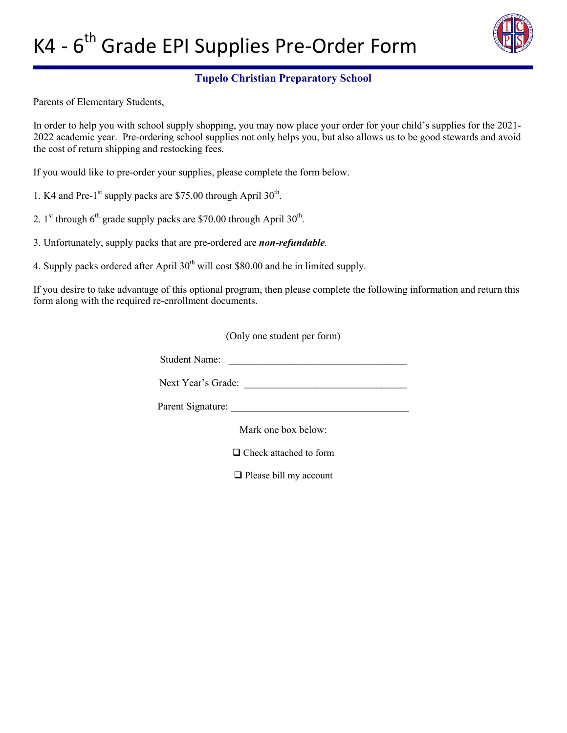

Parents of Elementary Students,

In order to help you with school supply shopping, you may now place your order for your child's supplies for the 2021- 2022 academic year. Pre-ordering school supplies not only helps you, but also allows us to be good stewards and avoid the cost of return shipping and restocking fees.

If you would like to pre-order your supplies, please complete the form below.

1. K4 and Pre-1st supply packs are \$75.00 through April  $30^{th}$ .

2. 1<sup>st</sup> through  $6<sup>th</sup>$  grade supply packs are \$70.00 through April 30<sup>th</sup>.

3. Unfortunately, supply packs that are pre-ordered are *non-refundable.*

4. Supply packs ordered after April  $30<sup>th</sup>$  will cost \$80.00 and be in limited supply.

If you desire to take advantage of this optional program, then please complete the following information and return this form along with the required re-enrollment documents.

(Only one student per form)

Student Name: \_\_\_\_\_\_\_\_\_\_\_\_\_\_\_\_\_\_\_\_\_\_\_\_\_\_\_\_\_\_\_\_\_\_\_

Next Year's Grade: \_\_\_\_\_\_\_\_\_\_\_\_\_\_\_\_\_\_\_\_\_\_\_\_\_\_\_\_\_\_\_\_

Parent Signature:

Mark one box below:

□ Check attached to form

**Q** Please bill my account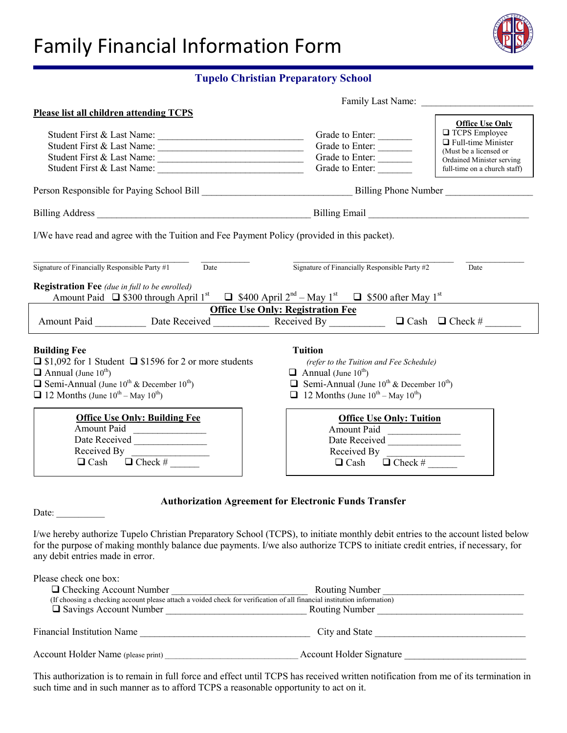# Family Financial Information Form



## **Tupelo Christian Preparatory School**

| Family Last Name:                                                                                                                                                                                                                                                                                   |                                                                                                                                                                                                                                                                      |                                                                                                                                                                    |
|-----------------------------------------------------------------------------------------------------------------------------------------------------------------------------------------------------------------------------------------------------------------------------------------------------|----------------------------------------------------------------------------------------------------------------------------------------------------------------------------------------------------------------------------------------------------------------------|--------------------------------------------------------------------------------------------------------------------------------------------------------------------|
| <b>Please list all children attending TCPS</b>                                                                                                                                                                                                                                                      |                                                                                                                                                                                                                                                                      |                                                                                                                                                                    |
| Student First & Last Name:<br>Student First & Last Name:<br>Student First & Last Name:                                                                                                                                                                                                              | Grade to Enter:<br>Grade to Enter:<br>Grade to Enter:<br>Grade to Enter:                                                                                                                                                                                             | <b>Office Use Only</b><br><b>TCPS</b> Employee<br>$\Box$ Full-time Minister<br>(Must be a licensed or<br>Ordained Minister serving<br>full-time on a church staff) |
|                                                                                                                                                                                                                                                                                                     |                                                                                                                                                                                                                                                                      |                                                                                                                                                                    |
|                                                                                                                                                                                                                                                                                                     |                                                                                                                                                                                                                                                                      |                                                                                                                                                                    |
| I/We have read and agree with the Tuition and Fee Payment Policy (provided in this packet).                                                                                                                                                                                                         |                                                                                                                                                                                                                                                                      |                                                                                                                                                                    |
| Signature of Financially Responsible Party #1<br>Date<br><b>Registration Fee</b> (due in full to be enrolled)<br>Amount Paid $\Box$ \$300 through April 1 <sup>st</sup> $\Box$ \$400 April 2 <sup>nd</sup> - May 1 <sup>st</sup> $\Box$ \$500 after May 1 <sup>st</sup>                             | Signature of Financially Responsible Party #2                                                                                                                                                                                                                        | Date                                                                                                                                                               |
| Amount Paid Date Received Received By DCash DCheck #                                                                                                                                                                                                                                                | <b>Office Use Only: Registration Fee</b>                                                                                                                                                                                                                             |                                                                                                                                                                    |
| <b>Building Fee</b><br>$\Box$ \$1,092 for 1 Student $\Box$ \$1596 for 2 or more students<br>$\Box$ Annual (June 10 <sup>th</sup> )<br><b><math>\Box</math></b> Semi-Annual (June 10 <sup>th</sup> & December 10 <sup>th</sup> )<br>$\Box$ 12 Months (June 10 <sup>th</sup> – May 10 <sup>th</sup> ) | <b>Tuition</b><br>(refer to the Tuition and Fee Schedule)<br>$\Box$ Annual (June 10 <sup>th</sup> )<br><b><math>\Box</math></b> Semi-Annual (June 10 <sup>th</sup> & December 10 <sup>th</sup> )<br>$\Box$ 12 Months (June 10 <sup>th</sup> – May 10 <sup>th</sup> ) |                                                                                                                                                                    |
| <b>Office Use Only: Building Fee</b><br><b>Amount Paid</b><br>Received By                                                                                                                                                                                                                           | <b>Office Use Only: Tuition</b><br>Amount Paid<br>Date Received<br>Received By<br>$\Box$ Check #<br>$\Box$ Cash                                                                                                                                                      |                                                                                                                                                                    |
| Date: $\qquad \qquad$                                                                                                                                                                                                                                                                               | <b>Authorization Agreement for Electronic Funds Transfer</b>                                                                                                                                                                                                         |                                                                                                                                                                    |

I/we hereby authorize Tupelo Christian Preparatory School (TCPS), to initiate monthly debit entries to the account listed below for the purpose of making monthly balance due payments. I/we also authorize TCPS to initiate credit entries, if necessary, for any debit entries made in error.

| Please check one box:                                                                                                   |                                 |
|-------------------------------------------------------------------------------------------------------------------------|---------------------------------|
| $\Box$ Checking Account Number                                                                                          | <b>Routing Number</b>           |
| (If choosing a checking account please attach a voided check for verification of all financial institution information) |                                 |
| $\Box$ Savings Account Number                                                                                           | <b>Routing Number</b>           |
|                                                                                                                         |                                 |
| <b>Financial Institution Name</b>                                                                                       | City and State                  |
|                                                                                                                         |                                 |
| Account Holder Name (please print)                                                                                      | <b>Account Holder Signature</b> |
|                                                                                                                         |                                 |

This authorization is to remain in full force and effect until TCPS has received written notification from me of its termination in such time and in such manner as to afford TCPS a reasonable opportunity to act on it.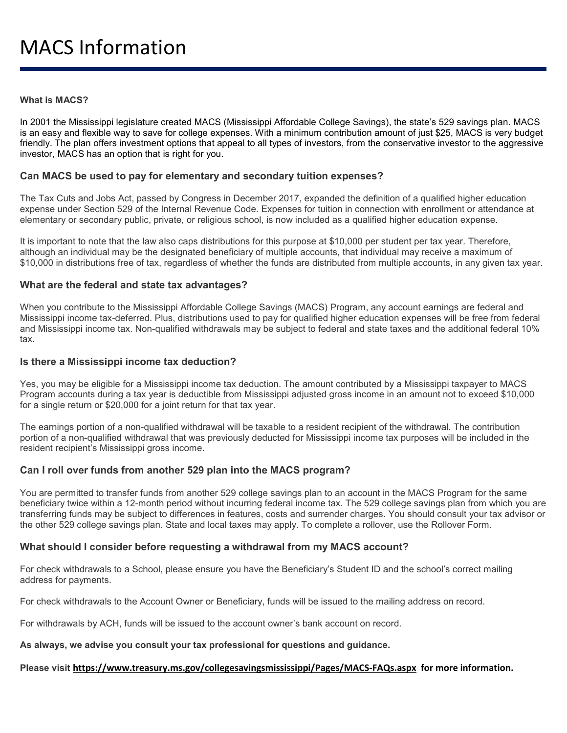#### **What is MACS?**

In 2001 the Mississippi legislature created MACS (Mississippi Affordable College Savings), the state's 529 savings plan. MACS is an easy and flexible way to save for college expenses. With a minimum contribution amount of just \$25, MACS is very budget friendly. The plan offers investment options that appeal to all types of investors, from the conservative investor to the aggressive investor, MACS has an option that is right for you.

#### **Can MACS be used to pay for elementary and secondary tuition expenses?**

The Tax Cuts and Jobs Act, passed by Congress in December 2017, expanded the definition of a qualified higher education expense under Section 529 of the Internal Revenue Code. Expenses for tuition in connection with enrollment or attendance at elementary or secondary public, private, or religious school, is now included as a qualified higher education expense.

It is important to note that the law also caps distributions for this purpose at \$10,000 per student per tax year. Therefore, although an individual may be the designated beneficiary of multiple accounts, that individual may receive a maximum of \$10,000 in distributions free of tax, regardless of whether the funds are distributed from multiple accounts, in any given tax year.

#### **What are the federal and state tax advantages?**

When you contribute to the Mississippi Affordable College Savings (MACS) Program, any account earnings are federal and Mississippi income tax-deferred. Plus, distributions used to pay for qualified higher education expenses will be free from federal and Mississippi income tax. Non-qualified withdrawals may be subject to federal and state taxes and the additional federal 10% tax.

#### **Is there a Mississippi income tax deduction?**

Yes, you may be eligible for a Mississippi income tax deduction. The amount contributed by a Mississippi taxpayer to MACS Program accounts during a tax year is deductible from Mississippi adjusted gross income in an amount not to exceed \$10,000 for a single return or \$20,000 for a joint return for that tax year.

The earnings portion of a non-qualified withdrawal will be taxable to a resident recipient of the withdrawal. The contribution portion of a non-qualified withdrawal that was previously deducted for Mississippi income tax purposes will be included in the resident recipient's Mississippi gross income.

#### **Can I roll over funds from another 529 plan into the MACS program?**

You are permitted to transfer funds from another 529 college savings plan to an account in the MACS Program for the same beneficiary twice within a 12-month period without incurring federal income tax. The 529 college savings plan from which you are transferring funds may be subject to differences in features, costs and surrender charges. You should consult your tax advisor or the other 529 college savings plan. State and local taxes may apply. To complete a rollover, use the Rollover Form.

#### **What should I consider before requesting a withdrawal from my MACS account?**

For check withdrawals to a School, please ensure you have the Beneficiary's Student ID and the school's correct mailing address for payments.

For check withdrawals to the Account Owner or Beneficiary, funds will be issued to the mailing address on record.

For withdrawals by ACH, funds will be issued to the account owner's bank account on record.

#### **As always, we advise you consult your tax professional for questions and guidance.**

#### **Please visit <https://www.treasury.ms.gov/collegesavingsmississippi/Pages/MACS-FAQs.aspx> for more information.**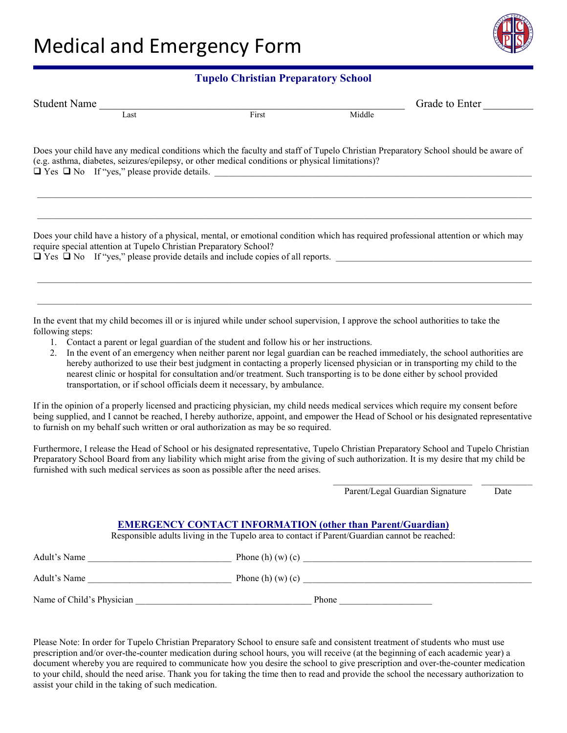

| <b>Student Name</b>                                                                                                                                                                                                                                                                                                                                                                                                                                                                                                                                                                                                                                                                                                     |       |                                 | Grade to Enter |
|-------------------------------------------------------------------------------------------------------------------------------------------------------------------------------------------------------------------------------------------------------------------------------------------------------------------------------------------------------------------------------------------------------------------------------------------------------------------------------------------------------------------------------------------------------------------------------------------------------------------------------------------------------------------------------------------------------------------------|-------|---------------------------------|----------------|
|                                                                                                                                                                                                                                                                                                                                                                                                                                                                                                                                                                                                                                                                                                                         | First | Middle                          |                |
| Does your child have any medical conditions which the faculty and staff of Tupelo Christian Preparatory School should be aware of<br>(e.g. asthma, diabetes, seizures/epilepsy, or other medical conditions or physical limitations)?                                                                                                                                                                                                                                                                                                                                                                                                                                                                                   |       |                                 |                |
| Does your child have a history of a physical, mental, or emotional condition which has required professional attention or which may<br>require special attention at Tupelo Christian Preparatory School?<br>The Theory of The Theory of all reports.                                                                                                                                                                                                                                                                                                                                                                                                                                                                    |       |                                 |                |
| In the event that my child becomes ill or is injured while under school supervision, I approve the school authorities to take the<br>following steps:<br>1. Contact a parent or legal guardian of the student and follow his or her instructions.<br>2. In the event of an emergency when neither parent nor legal guardian can be reached immediately, the school authorities are<br>hereby authorized to use their best judgment in contacting a properly licensed physician or in transporting my child to the<br>nearest clinic or hospital for consultation and/or treatment. Such transporting is to be done either by school provided<br>transportation, or if school officials deem it necessary, by ambulance. |       |                                 |                |
| If in the opinion of a properly licensed and practicing physician, my child needs medical services which require my consent before<br>being supplied, and I cannot be reached, I hereby authorize, appoint, and empower the Head of School or his designated representative<br>to furnish on my behalf such written or oral authorization as may be so required.                                                                                                                                                                                                                                                                                                                                                        |       |                                 |                |
| Furthermore, I release the Head of School or his designated representative, Tupelo Christian Preparatory School and Tupelo Christian<br>Preparatory School Board from any liability which might arise from the giving of such authorization. It is my desire that my child be<br>furnished with such medical services as soon as possible after the need arises.                                                                                                                                                                                                                                                                                                                                                        |       |                                 |                |
|                                                                                                                                                                                                                                                                                                                                                                                                                                                                                                                                                                                                                                                                                                                         |       | Parent/Legal Guardian Signature | Date           |

#### **EMERGENCY CONTACT INFORMATION (other than Parent/Guardian)**

Responsible adults living in the Tupelo area to contact if Parent/Guardian cannot be reached:

| Adult's Name              | Phone (h) $(w)$ (c) |
|---------------------------|---------------------|
| Adult's Name              | Phone (h) $(w)$ (c) |
| Name of Child's Physician | Phone               |

Please Note: In order for Tupelo Christian Preparatory School to ensure safe and consistent treatment of students who must use prescription and/or over-the-counter medication during school hours, you will receive (at the beginning of each academic year) a document whereby you are required to communicate how you desire the school to give prescription and over-the-counter medication to your child, should the need arise. Thank you for taking the time then to read and provide the school the necessary authorization to assist your child in the taking of such medication.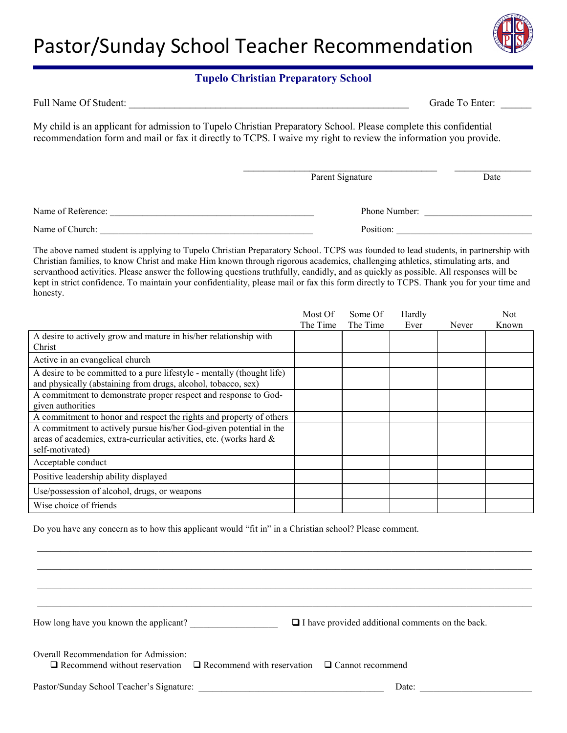

| Full Name Of Student:                                                                                                                                                                                                                |                  | Grade To Enter: |
|--------------------------------------------------------------------------------------------------------------------------------------------------------------------------------------------------------------------------------------|------------------|-----------------|
| My child is an applicant for admission to Tupelo Christian Preparatory School. Please complete this confidential<br>recommendation form and mail or fax it directly to TCPS. I waive my right to review the information you provide. |                  |                 |
|                                                                                                                                                                                                                                      | Parent Signature | Date            |
| Name of Reference:                                                                                                                                                                                                                   | Phone Number:    |                 |
|                                                                                                                                                                                                                                      | Position:        |                 |

The above named student is applying to Tupelo Christian Preparatory School. TCPS was founded to lead students, in partnership with Christian families, to know Christ and make Him known through rigorous academics, challenging athletics, stimulating arts, and servanthood activities. Please answer the following questions truthfully, candidly, and as quickly as possible. All responses will be kept in strict confidence. To maintain your confidentiality, please mail or fax this form directly to TCPS. Thank you for your time and honesty.

|                                                                                                                                                              | Most Of  | Some Of  | Hardly |       | <b>Not</b> |
|--------------------------------------------------------------------------------------------------------------------------------------------------------------|----------|----------|--------|-------|------------|
|                                                                                                                                                              | The Time | The Time | Ever   | Never | Known      |
| A desire to actively grow and mature in his/her relationship with<br>Christ                                                                                  |          |          |        |       |            |
| Active in an evangelical church                                                                                                                              |          |          |        |       |            |
| A desire to be committed to a pure lifestyle - mentally (thought life)<br>and physically (abstaining from drugs, alcohol, tobacco, sex)                      |          |          |        |       |            |
| A commitment to demonstrate proper respect and response to God-<br>given authorities                                                                         |          |          |        |       |            |
| A commitment to honor and respect the rights and property of others                                                                                          |          |          |        |       |            |
| A commitment to actively pursue his/her God-given potential in the<br>areas of academics, extra-curricular activities, etc. (works hard &<br>self-motivated) |          |          |        |       |            |
| Acceptable conduct                                                                                                                                           |          |          |        |       |            |
| Positive leadership ability displayed                                                                                                                        |          |          |        |       |            |
| Use/possession of alcohol, drugs, or weapons                                                                                                                 |          |          |        |       |            |
| Wise choice of friends                                                                                                                                       |          |          |        |       |            |

Do you have any concern as to how this applicant would "fit in" in a Christian school? Please comment.

 $\_$  , and the state of the state of the state of the state of the state of the state of the state of the state of the state of the state of the state of the state of the state of the state of the state of the state of the How long have you known the applicant?  $\Box$  I have provided additional comments on the back. Overall Recommendation for Admission:  $\Box$  Recommend without reservation  $\Box$  Recommend with reservation  $\Box$  Cannot recommend Pastor/Sunday School Teacher's Signature: \_\_\_\_\_\_\_\_\_\_\_\_\_\_\_\_\_\_\_\_\_\_\_\_\_\_\_\_\_\_\_\_\_\_\_\_\_\_\_\_ Date: \_\_\_\_\_\_\_\_\_\_\_\_\_\_\_\_\_\_\_\_\_\_\_\_

 $\_$  ,  $\_$  ,  $\_$  ,  $\_$  ,  $\_$  ,  $\_$  ,  $\_$  ,  $\_$  ,  $\_$  ,  $\_$  ,  $\_$  ,  $\_$  ,  $\_$  ,  $\_$  ,  $\_$  ,  $\_$  ,  $\_$  ,  $\_$  ,  $\_$  ,  $\_$  ,  $\_$  ,  $\_$  ,  $\_$  ,  $\_$  ,  $\_$  ,  $\_$  ,  $\_$  ,  $\_$  ,  $\_$  ,  $\_$  ,  $\_$  ,  $\_$  ,  $\_$  ,  $\_$  ,  $\_$  ,  $\_$  ,  $\_$  ,  $\_$  ,  $\_$  ,  $\_$  ,  $\_$  ,  $\_$  ,  $\_$  ,  $\_$  ,  $\_$  ,  $\_$  ,  $\_$  ,  $\_$  ,  $\_$  ,  $\_$  ,  $\_$  ,  $\_$  ,  $\_$  ,  $\_$  ,  $\_$  ,  $\_$  ,  $\_$  ,  $\_$  ,  $\_$  ,  $\_$  ,  $\_$  ,  $\_$  ,  $\_$  ,  $\_$  ,  $\_$  ,  $\_$  ,  $\_$  ,  $\_$  ,  $\_$  ,  $\_$  ,  $\_$  ,  $\_$  ,  $\_$  ,  $\_$  ,  $\_$  , and the state of the state of the state of the state of the state of the state of the state of the state of the state of the state of the state of the state of the state of the state of the state of the state of the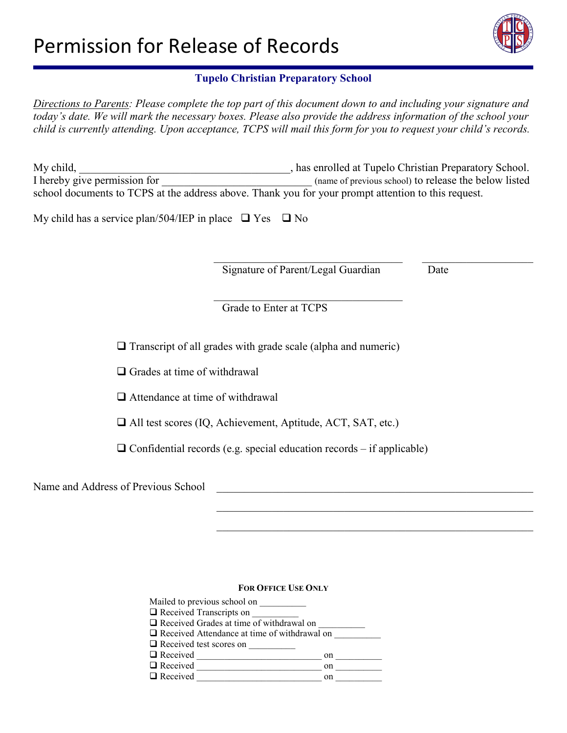

*Directions to Parents: Please complete the top part of this document down to and including your signature and today's date. We will mark the necessary boxes. Please also provide the address information of the school your child is currently attending. Upon acceptance, TCPS will mail this form for you to request your child's records.*

| My child,                                                                                           | has enrolled at Tupelo Christian Preparatory School.  |
|-----------------------------------------------------------------------------------------------------|-------------------------------------------------------|
| I hereby give permission for                                                                        | (name of previous school) to release the below listed |
| school documents to TCPS at the address above. Thank you for your prompt attention to this request. |                                                       |

 $\mathcal{L}_\mathcal{L}$  , which is a set of the set of the set of the set of the set of the set of the set of the set of the set of the set of the set of the set of the set of the set of the set of the set of the set of the set of

My child has a service plan/504/IEP in place  $\Box$  Yes  $\Box$  No

Signature of Parent/Legal Guardian Date

Grade to Enter at TCPS

 $\Box$  Transcript of all grades with grade scale (alpha and numeric)

 $\Box$  Grades at time of withdrawal

Attendance at time of withdrawal

 $\mathcal{L}_\text{max}$  , and the contract of the contract of the contract of the contract of the contract of the contract of

All test scores (IQ, Achievement, Aptitude, ACT, SAT, etc.)

 $\Box$  Confidential records (e.g. special education records – if applicable)

Name and Address of Previous School \_\_\_\_\_\_\_\_\_\_\_\_\_\_\_\_\_\_\_\_\_\_\_\_\_\_\_\_\_\_\_\_\_\_\_\_\_\_\_\_\_\_\_\_\_\_\_\_\_\_\_\_\_\_\_\_\_

#### **FOR OFFICE USE ONLY**

\_\_\_\_\_\_\_\_\_\_\_\_\_\_\_\_\_\_\_\_\_\_\_\_\_\_\_\_\_\_\_\_\_\_\_\_\_\_\_\_\_\_\_\_\_\_\_\_\_\_\_\_\_\_\_\_\_

 $\mathcal{L}_\text{max}$  , and the contribution of the contribution of the contribution of the contribution of the contribution of the contribution of the contribution of the contribution of the contribution of the contribution of t

Mailed to previous school on \_\_\_\_\_\_\_\_\_\_  $\Box$  Received Transcripts on  $\Box$  Received Grades at time of withdrawal on  $\Box$  Received Attendance at time of withdrawal on  $\Box$  Received test scores on Received \_\_\_\_\_\_\_\_\_\_\_\_\_\_\_\_\_\_\_\_\_\_\_\_\_\_\_ on \_\_\_\_\_\_\_\_\_\_ Received \_\_\_\_\_\_\_\_\_\_\_\_\_\_\_\_\_\_\_\_\_\_\_\_\_\_\_ on \_\_\_\_\_\_\_\_\_\_ Received \_\_\_\_\_\_\_\_\_\_\_\_\_\_\_\_\_\_\_\_\_\_\_\_\_\_\_ on \_\_\_\_\_\_\_\_\_\_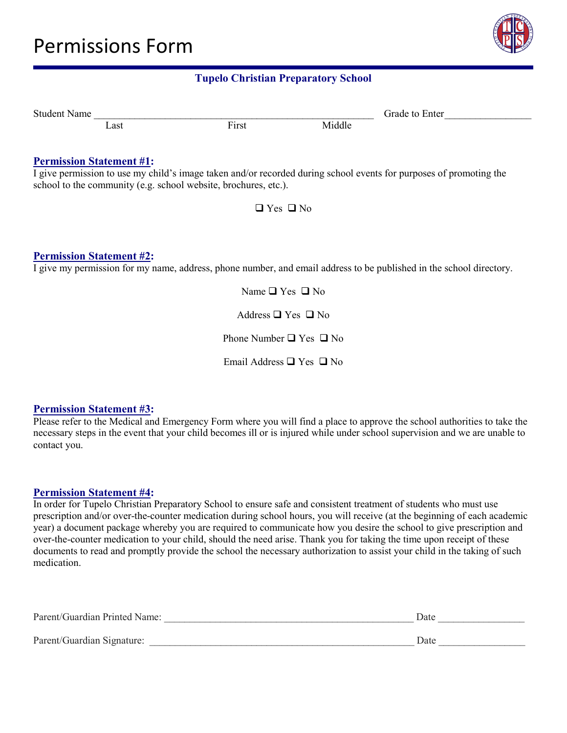

| Student<br>Name |      |                  |                | irade<br>Enter<br>ŤΩ |  |
|-----------------|------|------------------|----------------|----------------------|--|
|                 | ∠ast | -<br><b>inst</b> | 1.11<br>Middle |                      |  |

#### **Permission Statement #1:**

I give permission to use my child's image taken and/or recorded during school events for purposes of promoting the school to the community (e.g. school website, brochures, etc.).

 $\Box$  Yes  $\Box$  No

#### **Permission Statement #2:**

I give my permission for my name, address, phone number, and email address to be published in the school directory.

Name  $\Box$  Yes  $\Box$  No

Address  $\Box$  Yes  $\Box$  No

Phone Number  $\Box$  Yes  $\Box$  No

Email Address  $\Box$  Yes  $\Box$  No

#### **Permission Statement #3:**

Please refer to the Medical and Emergency Form where you will find a place to approve the school authorities to take the necessary steps in the event that your child becomes ill or is injured while under school supervision and we are unable to contact you.

#### **Permission Statement #4:**

In order for Tupelo Christian Preparatory School to ensure safe and consistent treatment of students who must use prescription and/or over-the-counter medication during school hours, you will receive (at the beginning of each academic year) a document package whereby you are required to communicate how you desire the school to give prescription and over-the-counter medication to your child, should the need arise. Thank you for taking the time upon receipt of these documents to read and promptly provide the school the necessary authorization to assist your child in the taking of such medication.

| Parent/Guardian Printed Name: | Date |  |
|-------------------------------|------|--|
| Parent/Guardian Signature:    | Date |  |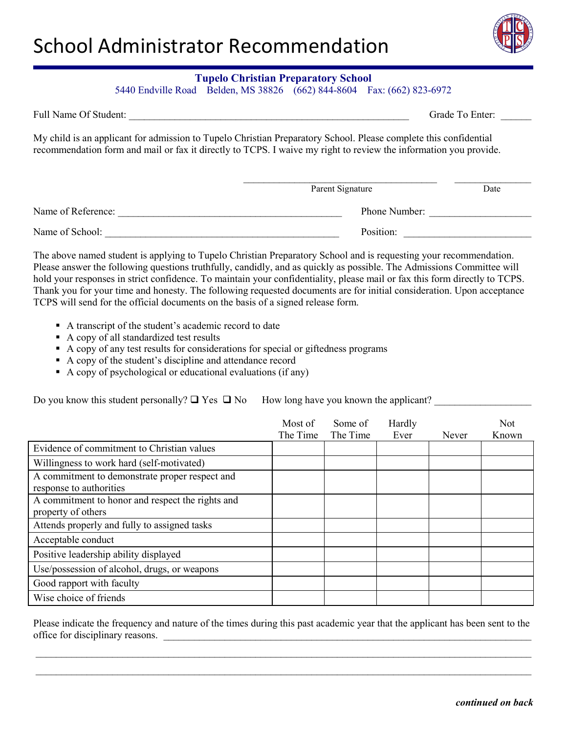

5440 Endville Road Belden, MS 38826 (662) 844-8604 Fax: (662) 823-6972

| Full Name Of Student: | Grade To Enter: |  |
|-----------------------|-----------------|--|
|                       |                 |  |

My child is an applicant for admission to Tupelo Christian Preparatory School. Please complete this confidential recommendation form and mail or fax it directly to TCPS. I waive my right to review the information you provide.

|                    | Parent Signature | Date |
|--------------------|------------------|------|
| Name of Reference: | Phone Number:    |      |
| Name of School:    | Position:        |      |

The above named student is applying to Tupelo Christian Preparatory School and is requesting your recommendation. Please answer the following questions truthfully, candidly, and as quickly as possible. The Admissions Committee will hold your responses in strict confidence. To maintain your confidentiality, please mail or fax this form directly to TCPS. Thank you for your time and honesty. The following requested documents are for initial consideration. Upon acceptance TCPS will send for the official documents on the basis of a signed release form.

- A transcript of the student's academic record to date
- A copy of all standardized test results
- A copy of any test results for considerations for special or giftedness programs
- A copy of the student's discipline and attendance record
- A copy of psychological or educational evaluations (if any)

Do you know this student personally?  $\Box$  Yes  $\Box$  No How long have you known the applicant?

|                                                                           | Most of<br>The Time | Some of<br>The Time | Hardly<br>Ever | Never | <b>Not</b><br>Known |
|---------------------------------------------------------------------------|---------------------|---------------------|----------------|-------|---------------------|
| Evidence of commitment to Christian values                                |                     |                     |                |       |                     |
| Willingness to work hard (self-motivated)                                 |                     |                     |                |       |                     |
| A commitment to demonstrate proper respect and<br>response to authorities |                     |                     |                |       |                     |
| A commitment to honor and respect the rights and<br>property of others    |                     |                     |                |       |                     |
| Attends properly and fully to assigned tasks                              |                     |                     |                |       |                     |
| Acceptable conduct                                                        |                     |                     |                |       |                     |
| Positive leadership ability displayed                                     |                     |                     |                |       |                     |
| Use/possession of alcohol, drugs, or weapons                              |                     |                     |                |       |                     |
| Good rapport with faculty                                                 |                     |                     |                |       |                     |
| Wise choice of friends                                                    |                     |                     |                |       |                     |

Please indicate the frequency and nature of the times during this past academic year that the applicant has been sent to the office for disciplinary reasons.

\_\_\_\_\_\_\_\_\_\_\_\_\_\_\_\_\_\_\_\_\_\_\_\_\_\_\_\_\_\_\_\_\_\_\_\_\_\_\_\_\_\_\_\_\_\_\_\_\_\_\_\_\_\_\_\_\_\_\_\_\_\_\_\_\_\_\_\_\_\_\_\_\_\_\_\_\_\_\_\_\_\_\_\_\_\_\_\_\_\_\_\_\_\_\_\_\_  $\_$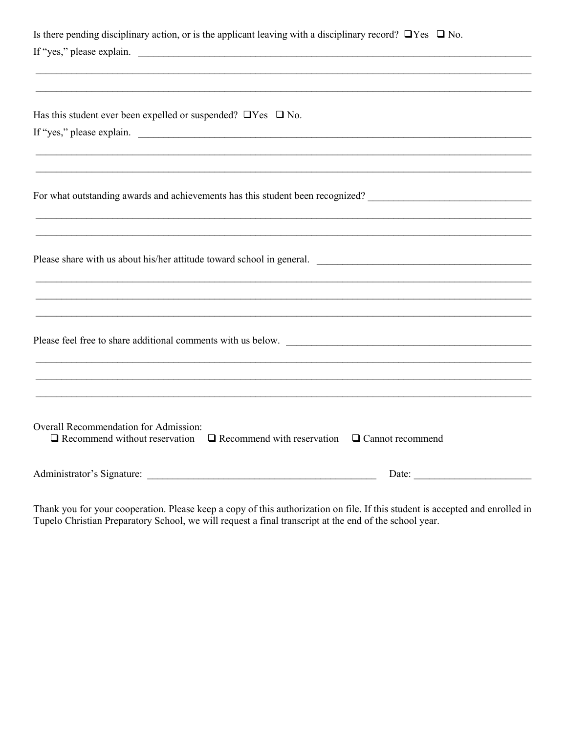| Is there pending disciplinary action, or is the applicant leaving with a disciplinary record? $\Box$ Yes $\Box$ No.<br>If "yes," please explain.                                              |
|-----------------------------------------------------------------------------------------------------------------------------------------------------------------------------------------------|
| Has this student ever been expelled or suspended? $\Box$ Yes $\Box$ No.<br>If "yes," please explain.                                                                                          |
| ,我们也不会有什么。""我们的人,我们也不会有什么?""我们的人,我们也不会有什么?""我们的人,我们也不会有什么?""我们的人,我们也不会有什么?""我们的人                                                                                                              |
| Please share with us about his/her attitude toward school in general.<br><u> 1989 - Johann John Harry, mars ar y brening ar y brening ar y brening ar y brening ar y brening ar y brening</u> |
|                                                                                                                                                                                               |
|                                                                                                                                                                                               |
| Overall Recommendation for Admission:<br>$\Box$ Recommend without reservation $\Box$ Recommend with reservation $\Box$ Cannot recommend                                                       |
| Administrator's Signature:<br>Date: $\qquad \qquad$                                                                                                                                           |

Thank you for your cooperation. Please keep a copy of this authorization on file. If this student is accepted and enrolled in Tupelo Christian Preparatory School, we will request a final transcript at the end of the school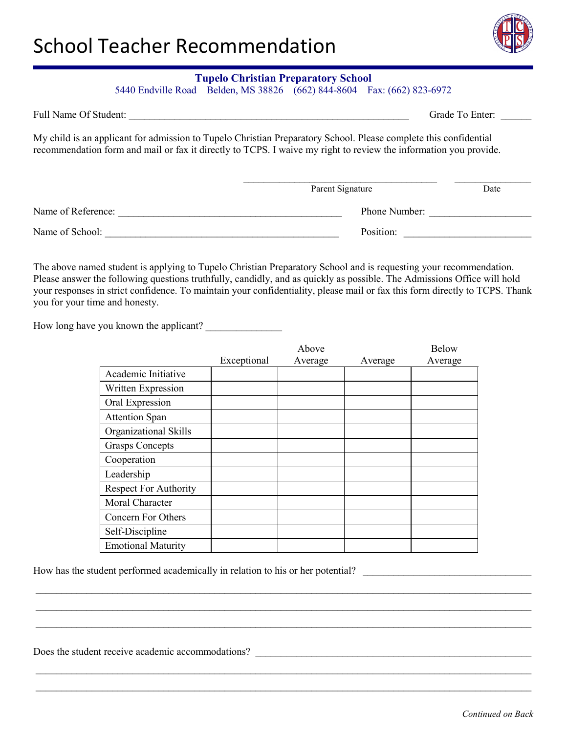

5440 Endville Road Belden, MS 38826 (662) 844-8604 Fax: (662) 823-6972

| Full Name Of Student: | Grade To Enter: |  |
|-----------------------|-----------------|--|
|                       |                 |  |

My child is an applicant for admission to Tupelo Christian Preparatory School. Please complete this confidential recommendation form and mail or fax it directly to TCPS. I waive my right to review the information you provide.

|                    | Parent Signature | Date |
|--------------------|------------------|------|
| Name of Reference: | Phone Number:    |      |
| Name of School:    | Position:        |      |

The above named student is applying to Tupelo Christian Preparatory School and is requesting your recommendation. Please answer the following questions truthfully, candidly, and as quickly as possible. The Admissions Office will hold your responses in strict confidence. To maintain your confidentiality, please mail or fax this form directly to TCPS. Thank you for your time and honesty.

How long have you known the applicant?

|                              |             | Above   |         | <b>Below</b> |
|------------------------------|-------------|---------|---------|--------------|
|                              | Exceptional | Average | Average | Average      |
| Academic Initiative          |             |         |         |              |
| Written Expression           |             |         |         |              |
| Oral Expression              |             |         |         |              |
| <b>Attention Span</b>        |             |         |         |              |
| Organizational Skills        |             |         |         |              |
| <b>Grasps Concepts</b>       |             |         |         |              |
| Cooperation                  |             |         |         |              |
| Leadership                   |             |         |         |              |
| <b>Respect For Authority</b> |             |         |         |              |
| Moral Character              |             |         |         |              |
| Concern For Others           |             |         |         |              |
| Self-Discipline              |             |         |         |              |
| <b>Emotional Maturity</b>    |             |         |         |              |

 $\_$ \_\_\_\_\_\_\_\_\_\_\_\_\_\_\_\_\_\_\_\_\_\_\_\_\_\_\_\_\_\_\_\_\_\_\_\_\_\_\_\_\_\_\_\_\_\_\_\_\_\_\_\_\_\_\_\_\_\_\_\_\_\_\_\_\_\_\_\_\_\_\_\_\_\_\_\_\_\_\_\_\_\_\_\_\_\_\_\_\_\_\_\_\_\_\_\_\_ \_\_\_\_\_\_\_\_\_\_\_\_\_\_\_\_\_\_\_\_\_\_\_\_\_\_\_\_\_\_\_\_\_\_\_\_\_\_\_\_\_\_\_\_\_\_\_\_\_\_\_\_\_\_\_\_\_\_\_\_\_\_\_\_\_\_\_\_\_\_\_\_\_\_\_\_\_\_\_\_\_\_\_\_\_\_\_\_\_\_\_\_\_\_\_\_\_

\_\_\_\_\_\_\_\_\_\_\_\_\_\_\_\_\_\_\_\_\_\_\_\_\_\_\_\_\_\_\_\_\_\_\_\_\_\_\_\_\_\_\_\_\_\_\_\_\_\_\_\_\_\_\_\_\_\_\_\_\_\_\_\_\_\_\_\_\_\_\_\_\_\_\_\_\_\_\_\_\_\_\_\_\_\_\_\_\_\_\_\_\_\_\_\_\_ \_\_\_\_\_\_\_\_\_\_\_\_\_\_\_\_\_\_\_\_\_\_\_\_\_\_\_\_\_\_\_\_\_\_\_\_\_\_\_\_\_\_\_\_\_\_\_\_\_\_\_\_\_\_\_\_\_\_\_\_\_\_\_\_\_\_\_\_\_\_\_\_\_\_\_\_\_\_\_\_\_\_\_\_\_\_\_\_\_\_\_\_\_\_\_\_\_

How has the student performed academically in relation to his or her potential?

Does the student receive academic accommodations?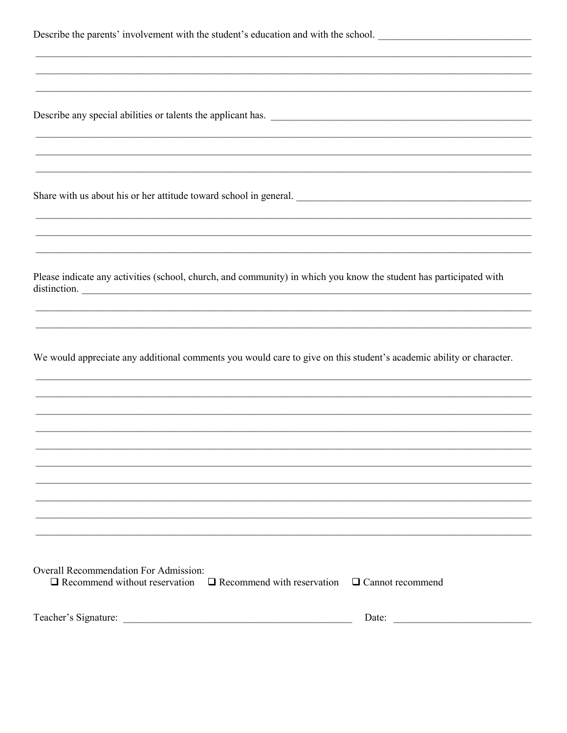Describe the parents' involvement with the student's education and with the school.

Describe any special abilities or talents the applicant has.

Share with us about his or her attitude toward school in general.

Please indicate any activities (school, church, and community) in which you know the student has participated with distinction.

We would appreciate any additional comments you would care to give on this student's academic ability or character.

| Overall Recommendation For Admission:                                                          |       |
|------------------------------------------------------------------------------------------------|-------|
| $\Box$ Recommend without reservation $\Box$ Recommend with reservation $\Box$ Cannot recommend |       |
|                                                                                                |       |
|                                                                                                |       |
| Teacher's Signature:                                                                           | Date: |

| eacher's Signature: | Date |  |
|---------------------|------|--|
|                     |      |  |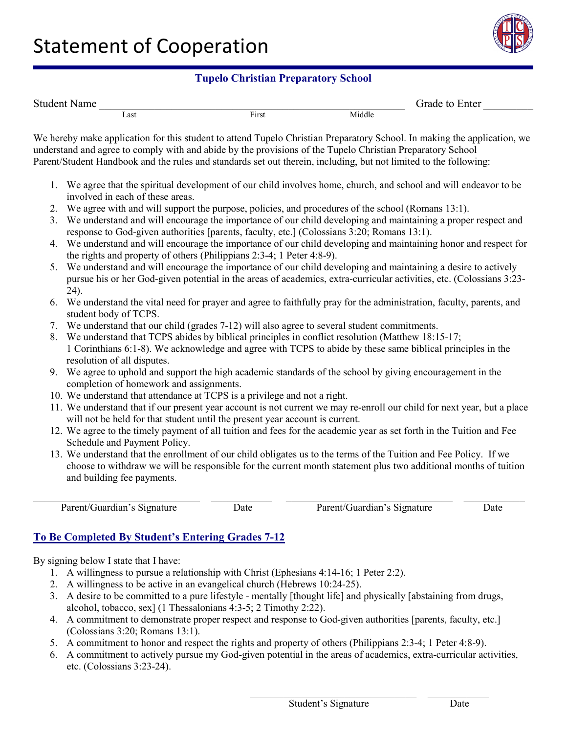

| Student<br>Name |      |                  |        | Frade to<br>Enter |  |
|-----------------|------|------------------|--------|-------------------|--|
|                 | Last | $\sim$<br>F irst | Middle |                   |  |

We hereby make application for this student to attend Tupelo Christian Preparatory School. In making the application, we understand and agree to comply with and abide by the provisions of the Tupelo Christian Preparatory School Parent/Student Handbook and the rules and standards set out therein, including, but not limited to the following:

- 1. We agree that the spiritual development of our child involves home, church, and school and will endeavor to be involved in each of these areas.
- 2. We agree with and will support the purpose, policies, and procedures of the school (Romans 13:1).
- 3. We understand and will encourage the importance of our child developing and maintaining a proper respect and response to God-given authorities [parents, faculty, etc.] (Colossians 3:20; Romans 13:1).
- 4. We understand and will encourage the importance of our child developing and maintaining honor and respect for the rights and property of others (Philippians 2:3-4; 1 Peter 4:8-9).
- 5. We understand and will encourage the importance of our child developing and maintaining a desire to actively pursue his or her God-given potential in the areas of academics, extra-curricular activities, etc. (Colossians 3:23- 24).
- 6. We understand the vital need for prayer and agree to faithfully pray for the administration, faculty, parents, and student body of TCPS.
- 7. We understand that our child (grades 7-12) will also agree to several student commitments.
- 8. We understand that TCPS abides by biblical principles in conflict resolution (Matthew 18:15-17; 1 Corinthians 6:1-8). We acknowledge and agree with TCPS to abide by these same biblical principles in the resolution of all disputes.
- 9. We agree to uphold and support the high academic standards of the school by giving encouragement in the completion of homework and assignments.
- 10. We understand that attendance at TCPS is a privilege and not a right.
- 11. We understand that if our present year account is not current we may re-enroll our child for next year, but a place will not be held for that student until the present year account is current.
- 12. We agree to the timely payment of all tuition and fees for the academic year as set forth in the Tuition and Fee Schedule and Payment Policy.
- 13. We understand that the enrollment of our child obligates us to the terms of the Tuition and Fee Policy. If we choose to withdraw we will be responsible for the current month statement plus two additional months of tuition and building fee payments.

 $\_$  , and the set of the set of the set of the set of the set of the set of the set of the set of the set of the set of the set of the set of the set of the set of the set of the set of the set of the set of the set of th

Parent/Guardian's Signature Date Parent/Guardian's Signature Date

\_\_\_\_\_\_\_\_\_\_\_\_\_\_\_\_\_\_\_\_\_\_\_\_\_\_\_\_\_\_ \_\_\_\_\_\_\_\_\_\_\_

# **To Be Completed By Student's Entering Grades 7-12**

By signing below I state that I have:

- 1. A willingness to pursue a relationship with Christ (Ephesians 4:14-16; 1 Peter 2:2).
- 2. A willingness to be active in an evangelical church (Hebrews 10:24-25).
- 3. A desire to be committed to a pure lifestyle mentally [thought life] and physically [abstaining from drugs, alcohol, tobacco, sex] (1 Thessalonians 4:3-5; 2 Timothy 2:22).
- 4. A commitment to demonstrate proper respect and response to God-given authorities [parents, faculty, etc.] (Colossians 3:20; Romans 13:1).
- 5. A commitment to honor and respect the rights and property of others (Philippians 2:3-4; 1 Peter 4:8-9).
- 6. A commitment to actively pursue my God-given potential in the areas of academics, extra-curricular activities, etc. (Colossians 3:23-24).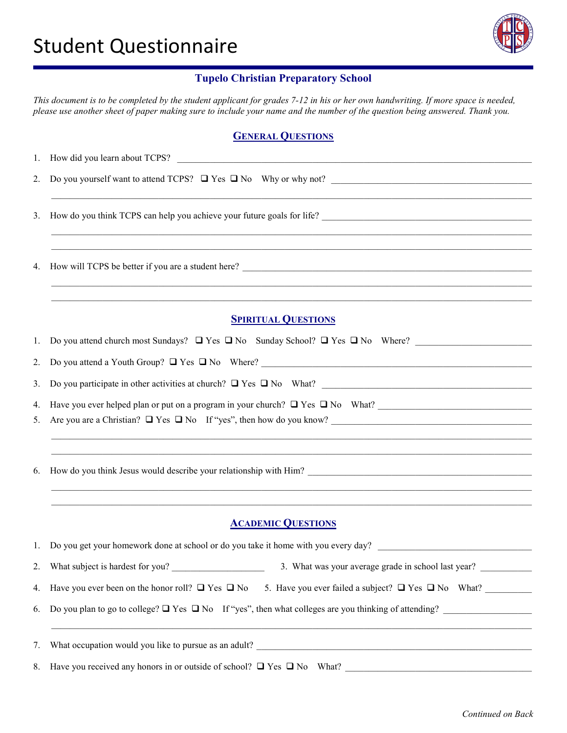

*This document is to be completed by the student applicant for grades 7-12 in his or her own handwriting. If more space is needed, please use another sheet of paper making sure to include your name and the number of the question being answered. Thank you.*

## **GENERAL QUESTIONS**

| 2. | Do you yourself want to attend TCPS? $\Box$ Yes $\Box$ No Why or why not?                                                |  |  |
|----|--------------------------------------------------------------------------------------------------------------------------|--|--|
|    |                                                                                                                          |  |  |
| 3. |                                                                                                                          |  |  |
|    |                                                                                                                          |  |  |
| 4. |                                                                                                                          |  |  |
|    |                                                                                                                          |  |  |
|    | <b>SPIRITUAL QUESTIONS</b>                                                                                               |  |  |
| 1. | Do you attend church most Sundays? $\Box$ Yes $\Box$ No Sunday School? $\Box$ Yes $\Box$ No Where?                       |  |  |
| 2. | Do you attend a Youth Group? $\Box$ Yes $\Box$ No Where?                                                                 |  |  |
| 3. | Do you participate in other activities at church? $\Box$ Yes $\Box$ No What?                                             |  |  |
| 4. | Have you ever helped plan or put on a program in your church? $\Box$ Yes $\Box$ No What?                                 |  |  |
| 5. |                                                                                                                          |  |  |
|    |                                                                                                                          |  |  |
| 6. | How do you think Jesus would describe your relationship with Him?                                                        |  |  |
|    |                                                                                                                          |  |  |
|    | <u> 1989 - John Stoff, der andere som den stadskapen i den stadskapen i den stadskapen i den stadskapen i den s</u>      |  |  |
|    | <b>ACADEMIC QUESTIONS</b>                                                                                                |  |  |
|    | 1. Do you get your homework done at school or do you take it home with you every day?                                    |  |  |
| 2. | What subject is hardest for you?<br>3. What was your average grade in school last year?                                  |  |  |
| 4. | Have you ever been on the honor roll? $\Box$ Yes $\Box$ No 5. Have you ever failed a subject? $\Box$ Yes $\Box$ No What? |  |  |
| 6. | Do you plan to go to college? $\Box$ Yes $\Box$ No If "yes", then what colleges are you thinking of attending?           |  |  |
| 7. |                                                                                                                          |  |  |
| 8. |                                                                                                                          |  |  |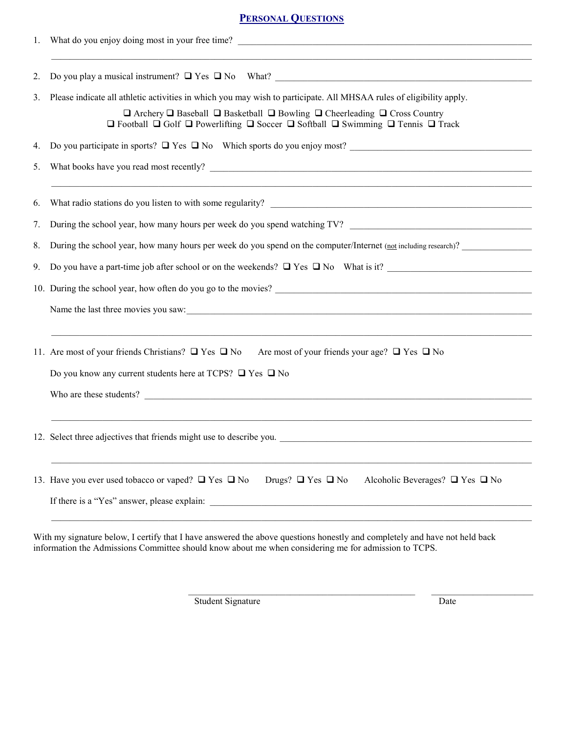## **PERSONAL QUESTIONS**

| 1. |                                                                                                                                                                                                                                                                                                                                                             |
|----|-------------------------------------------------------------------------------------------------------------------------------------------------------------------------------------------------------------------------------------------------------------------------------------------------------------------------------------------------------------|
| 2. |                                                                                                                                                                                                                                                                                                                                                             |
| 3. | Please indicate all athletic activities in which you may wish to participate. All MHSAA rules of eligibility apply.<br>$\Box$ Archery $\Box$ Baseball $\Box$ Basketball $\Box$ Bowling $\Box$ Cheerleading $\Box$ Cross Country<br>$\Box$ Football $\Box$ Golf $\Box$ Powerlifting $\Box$ Soccer $\Box$ Softball $\Box$ Swimming $\Box$ Tennis $\Box$ Track |
| 4. | Do you participate in sports? $\Box$ Yes $\Box$ No Which sports do you enjoy most?                                                                                                                                                                                                                                                                          |
| 5. |                                                                                                                                                                                                                                                                                                                                                             |
| 6. |                                                                                                                                                                                                                                                                                                                                                             |
| 7. | During the school year, how many hours per week do you spend watching TV?                                                                                                                                                                                                                                                                                   |
| 8. | During the school year, how many hours per week do you spend on the computer/Internet (not including research)?                                                                                                                                                                                                                                             |
| 9. | Do you have a part-time job after school or on the weekends? $\Box$ Yes $\Box$ No What is it?                                                                                                                                                                                                                                                               |
|    | 10. During the school year, how often do you go to the movies?<br><u>Letting</u> the school year, how often do you go to the movies?<br><u>Letting the school year</u> , how often do you go to the movies?                                                                                                                                                 |
|    | Name the last three movies you saw:<br><u> and</u> the last three movies you saw:                                                                                                                                                                                                                                                                           |
|    | 11. Are most of your friends Christians? $\Box$ Yes $\Box$ No<br>Are most of your friends your age? $\Box$ Yes $\Box$ No                                                                                                                                                                                                                                    |
|    | Do you know any current students here at TCPS? $\Box$ Yes $\Box$ No                                                                                                                                                                                                                                                                                         |
|    | Who are these students?                                                                                                                                                                                                                                                                                                                                     |
|    | 12. Select three adjectives that friends might use to describe you.                                                                                                                                                                                                                                                                                         |
|    | 13. Have you ever used to bacco or vaped? $\Box$ Yes $\Box$ No<br>Drugs? $\Box$ Yes $\Box$ No<br>Alcoholic Beverages? $\Box$ Yes $\Box$ No<br>If there is a "Yes" answer, please explain:                                                                                                                                                                   |
|    |                                                                                                                                                                                                                                                                                                                                                             |

With my signature below, I certify that I have answered the above questions honestly and completely and have not held back information the Admissions Committee should know about me when considering me for admission to TCPS.

Student Signature Date

 $\_$  . The contribution of the contribution of  $\mathcal{L}_1$  ,  $\mathcal{L}_2$  ,  $\mathcal{L}_3$  ,  $\mathcal{L}_4$  ,  $\mathcal{L}_5$  ,  $\mathcal{L}_6$  ,  $\mathcal{L}_7$  ,  $\mathcal{L}_8$  ,  $\mathcal{L}_9$  ,  $\mathcal{L}_8$  ,  $\mathcal{L}_9$  ,  $\mathcal{L}_9$  ,  $\mathcal{L}_8$  ,  $\mathcal{L}_9$  ,  $\mathcal{L}_$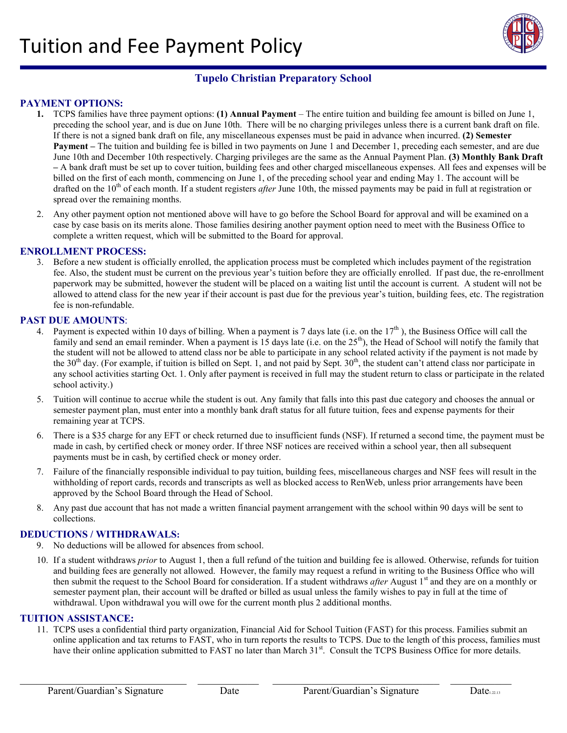

#### **PAYMENT OPTIONS:**

- **1.** TCPS families have three payment options: **(1) Annual Payment** The entire tuition and building fee amount is billed on June 1, preceding the school year, and is due on June 10th. There will be no charging privileges unless there is a current bank draft on file. If there is not a signed bank draft on file, any miscellaneous expenses must be paid in advance when incurred. **(2) Semester Payment –** The tuition and building fee is billed in two payments on June 1 and December 1, preceding each semester, and are due June 10th and December 10th respectively. Charging privileges are the same as the Annual Payment Plan. **(3) Monthly Bank Draft –** A bank draft must be set up to cover tuition, building fees and other charged miscellaneous expenses. All fees and expenses will be billed on the first of each month, commencing on June 1, of the preceding school year and ending May 1. The account will be drafted on the 10<sup>th</sup> of each month. If a student registers *after* June 10th, the missed payments may be paid in full at registration or spread over the remaining months.
- 2. Any other payment option not mentioned above will have to go before the School Board for approval and will be examined on a case by case basis on its merits alone. Those families desiring another payment option need to meet with the Business Office to complete a written request, which will be submitted to the Board for approval.

#### **ENROLLMENT PROCESS:**

3. Before a new student is officially enrolled, the application process must be completed which includes payment of the registration fee. Also, the student must be current on the previous year's tuition before they are officially enrolled. If past due, the re-enrollment paperwork may be submitted, however the student will be placed on a waiting list until the account is current. A student will not be allowed to attend class for the new year if their account is past due for the previous year's tuition, building fees, etc. The registration fee is non-refundable.

#### **PAST DUE AMOUNTS**:

- 4. Payment is expected within 10 days of billing. When a payment is 7 days late (i.e. on the  $17<sup>th</sup>$ ), the Business Office will call the family and send an email reminder. When a payment is 15 days late (i.e. on the 25<sup>th</sup>), the Head of School will notify the family that the student will not be allowed to attend class nor be able to participate in any school related activity if the payment is not made by the 30<sup>th</sup> day. (For example, if tuition is billed on Sept. 1, and not paid by Sept.  $30<sup>th</sup>$ , the student can't attend class nor participate in any school activities starting Oct. 1. Only after payment is received in full may the student return to class or participate in the related school activity.)
- 5. Tuition will continue to accrue while the student is out. Any family that falls into this past due category and chooses the annual or semester payment plan, must enter into a monthly bank draft status for all future tuition, fees and expense payments for their remaining year at TCPS.
- 6. There is a \$35 charge for any EFT or check returned due to insufficient funds (NSF). If returned a second time, the payment must be made in cash, by certified check or money order. If three NSF notices are received within a school year, then all subsequent payments must be in cash, by certified check or money order.
- 7. Failure of the financially responsible individual to pay tuition, building fees, miscellaneous charges and NSF fees will result in the withholding of report cards, records and transcripts as well as blocked access to RenWeb, unless prior arrangements have been approved by the School Board through the Head of School.
- 8. Any past due account that has not made a written financial payment arrangement with the school within 90 days will be sent to collections.

#### **DEDUCTIONS / WITHDRAWALS:**

- 9. No deductions will be allowed for absences from school.
- 10. If a student withdraws *prior* to August 1, then a full refund of the tuition and building fee is allowed. Otherwise, refunds for tuition and building fees are generally not allowed. However, the family may request a refund in writing to the Business Office who will then submit the request to the School Board for consideration. If a student withdraws *after* August 1<sup>st</sup> and they are on a monthly or semester payment plan, their account will be drafted or billed as usual unless the family wishes to pay in full at the time of withdrawal. Upon withdrawal you will owe for the current month plus 2 additional months.

#### **TUITION ASSISTANCE:**

11. TCPS uses a confidential third party organization, Financial Aid for School Tuition (FAST) for this process. Families submit an online application and tax returns to FAST, who in turn reports the results to TCPS. Due to the length of this process, families must have their online application submitted to FAST no later than March 31<sup>st</sup>. Consult the TCPS Business Office for more details.

 $\_$  , and the set of the set of the set of the set of the set of the set of the set of the set of the set of the set of the set of the set of the set of the set of the set of the set of the set of the set of the set of th